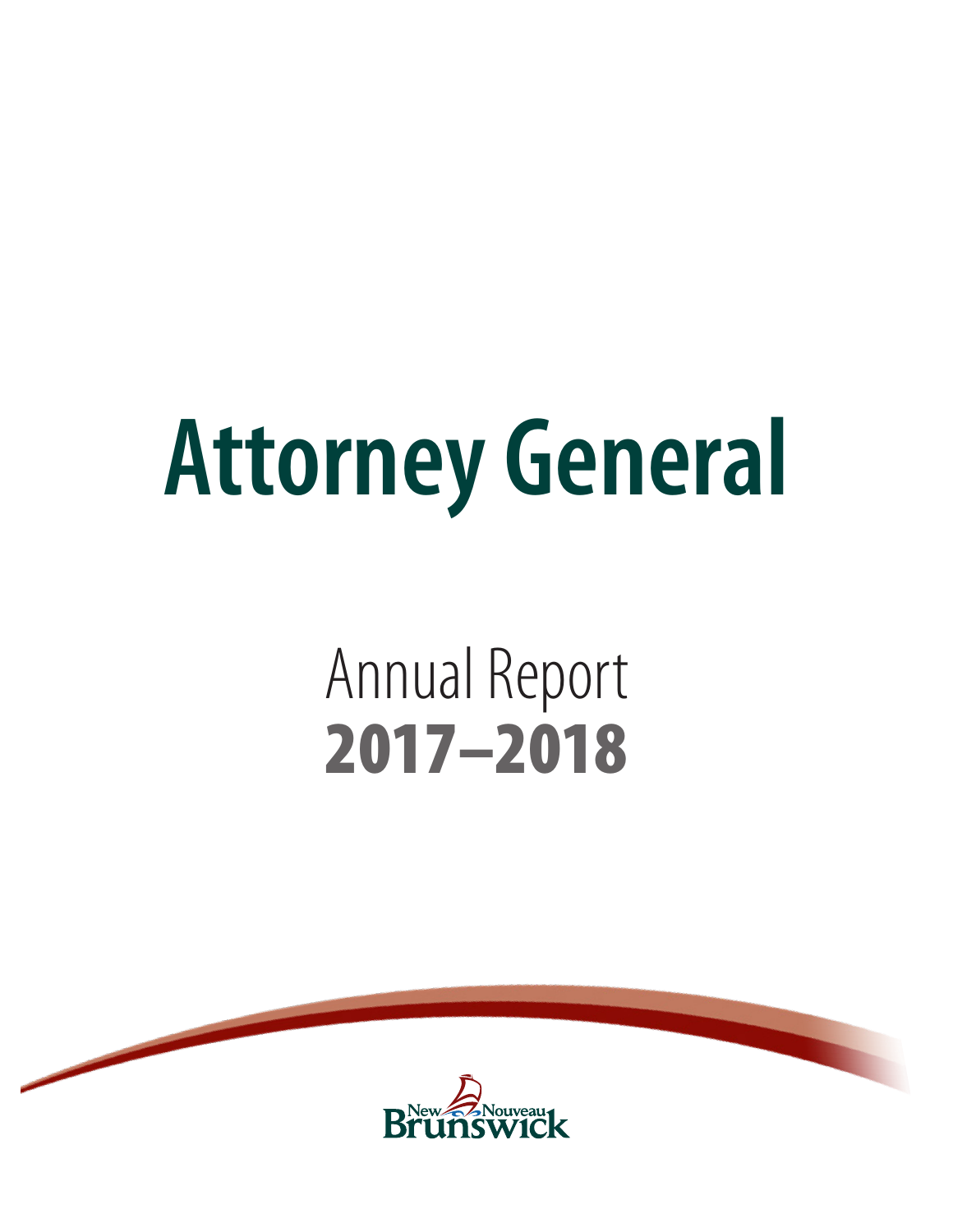# **Attorney General**

# Annual Report 2017–2018



u.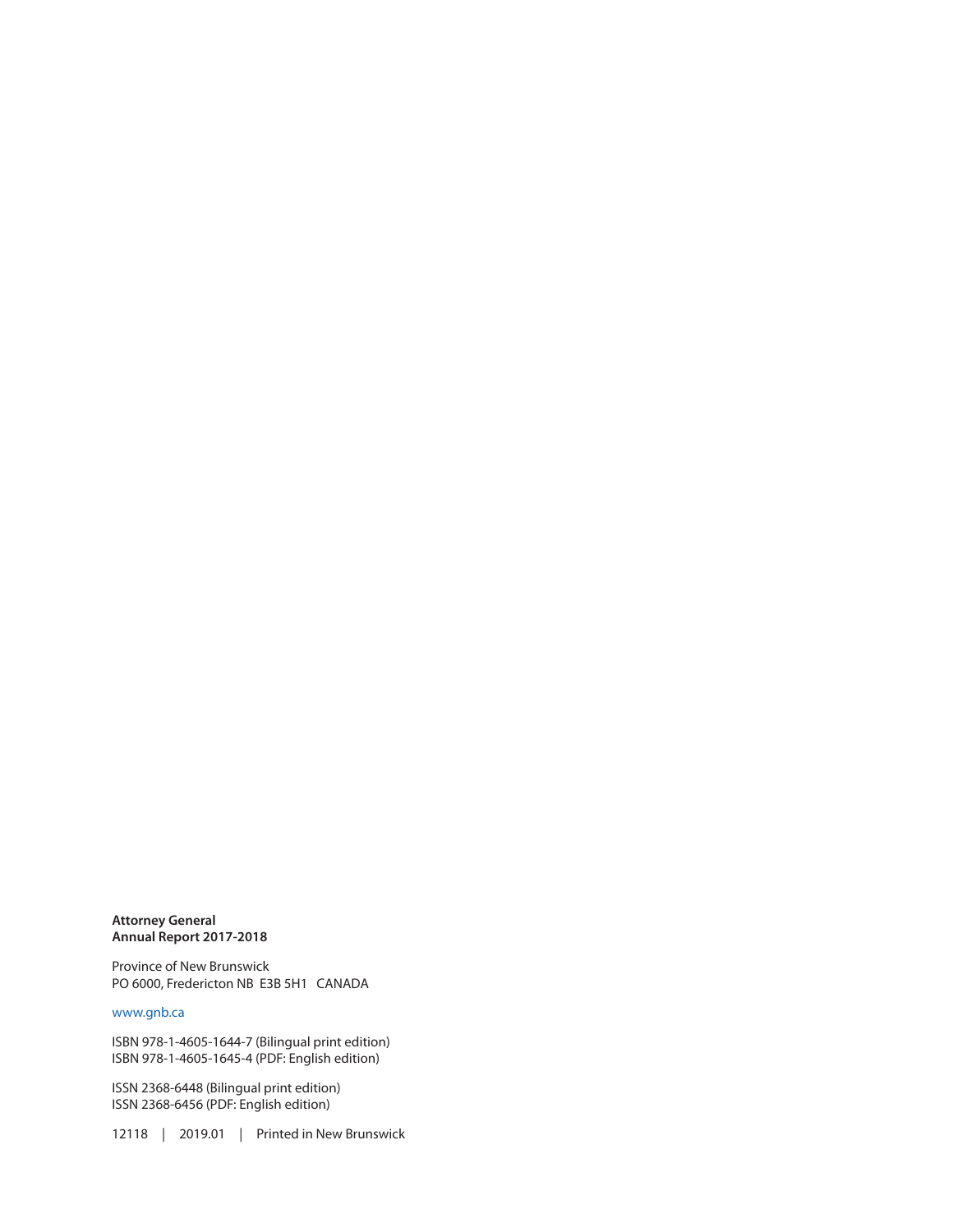**Attorney General Annual Report 2017-2018**

Province of New Brunswick PO 6000, Fredericton NB E3B 5H1 CANADA

#### [www.gnb.ca](http://www.gnb.ca)

ISBN 978-1-4605-1644-7 (Bilingual print edition) ISBN 978-1-4605-1645-4 (PDF: English edition)

ISSN 2368-6448 (Bilingual print edition) ISSN 2368-6456 (PDF: English edition)

12118 | 2019.01 | Printed in New Brunswick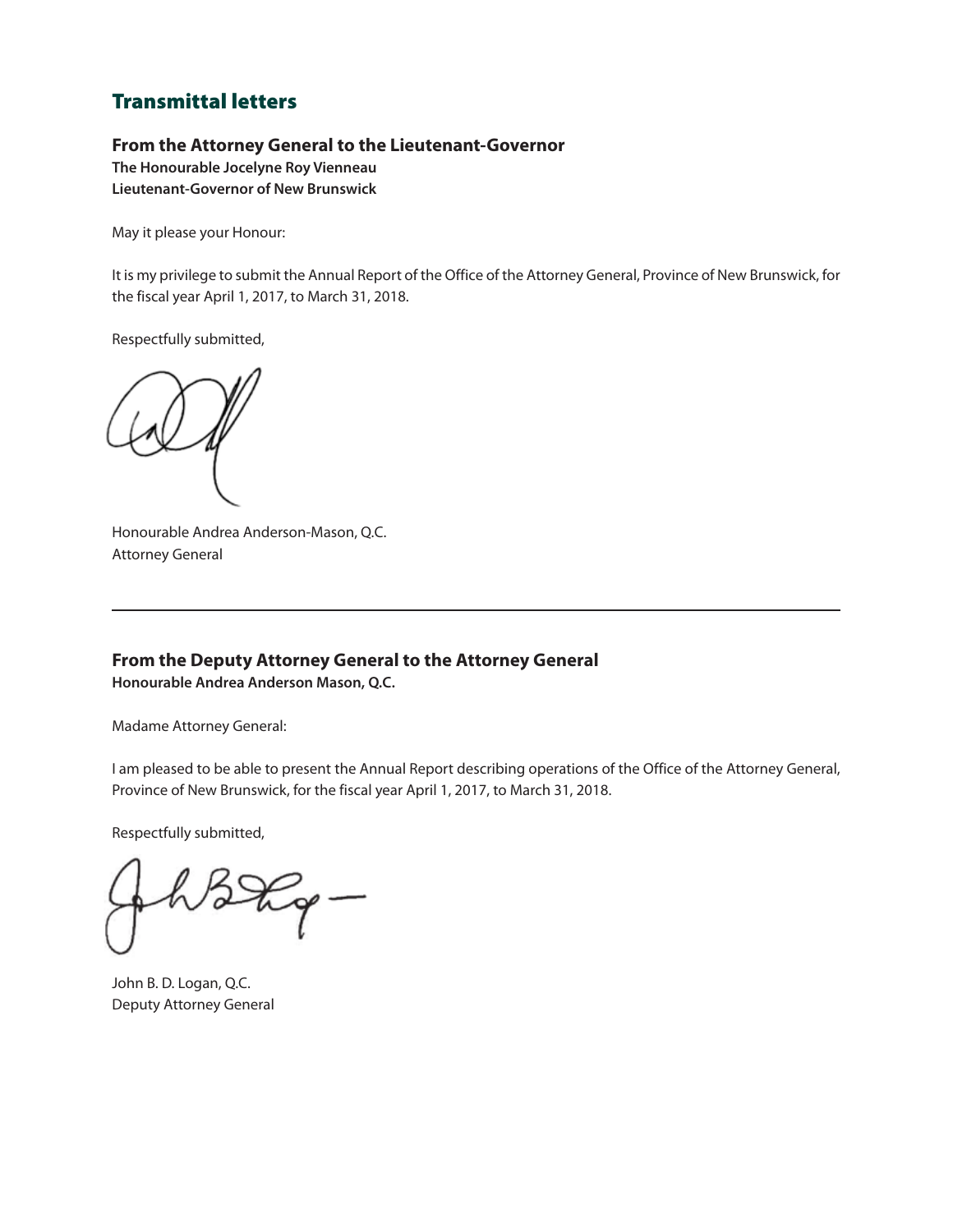### Transmittal letters

#### **From the Attorney General to the Lieutenant-Governor**

**The Honourable Jocelyne Roy Vienneau Lieutenant-Governor of New Brunswick**

May it please your Honour:

It is my privilege to submit the Annual Report of the Office of the Attorney General, Province of New Brunswick, for the fiscal year April 1, 2017, to March 31, 2018.

Respectfully submitted,

Honourable Andrea Anderson-Mason, Q.C. Attorney General

**From the Deputy Attorney General to the Attorney General Honourable Andrea Anderson Mason, Q.C.**

Madame Attorney General:

I am pleased to be able to present the Annual Report describing operations of the Office of the Attorney General, Province of New Brunswick, for the fiscal year April 1, 2017, to March 31, 2018.

Respectfully submitted,

John B. D. Logan, Q.C. Deputy Attorney General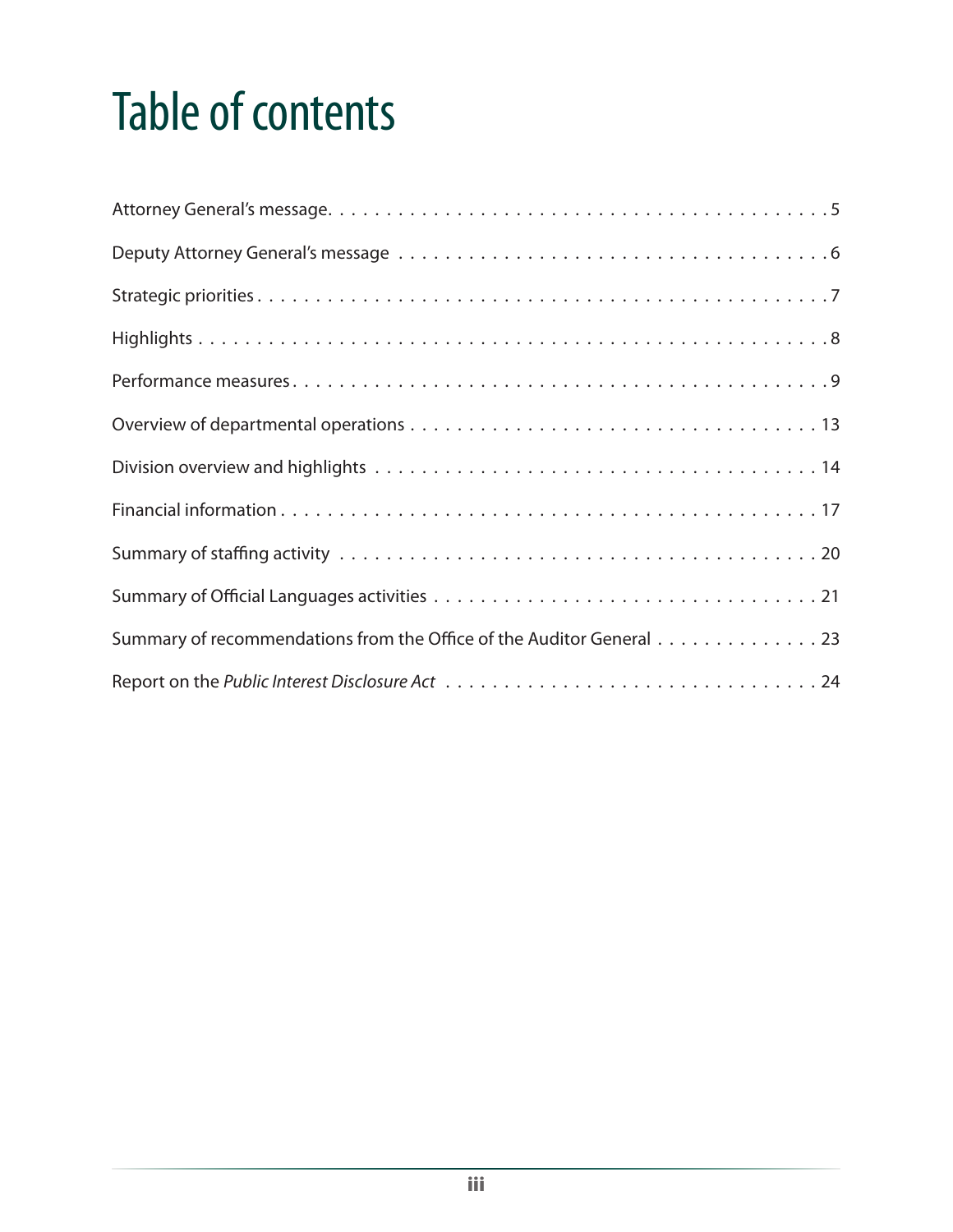# Table of contents

| Summary of recommendations from the Office of the Auditor General 23 |
|----------------------------------------------------------------------|
|                                                                      |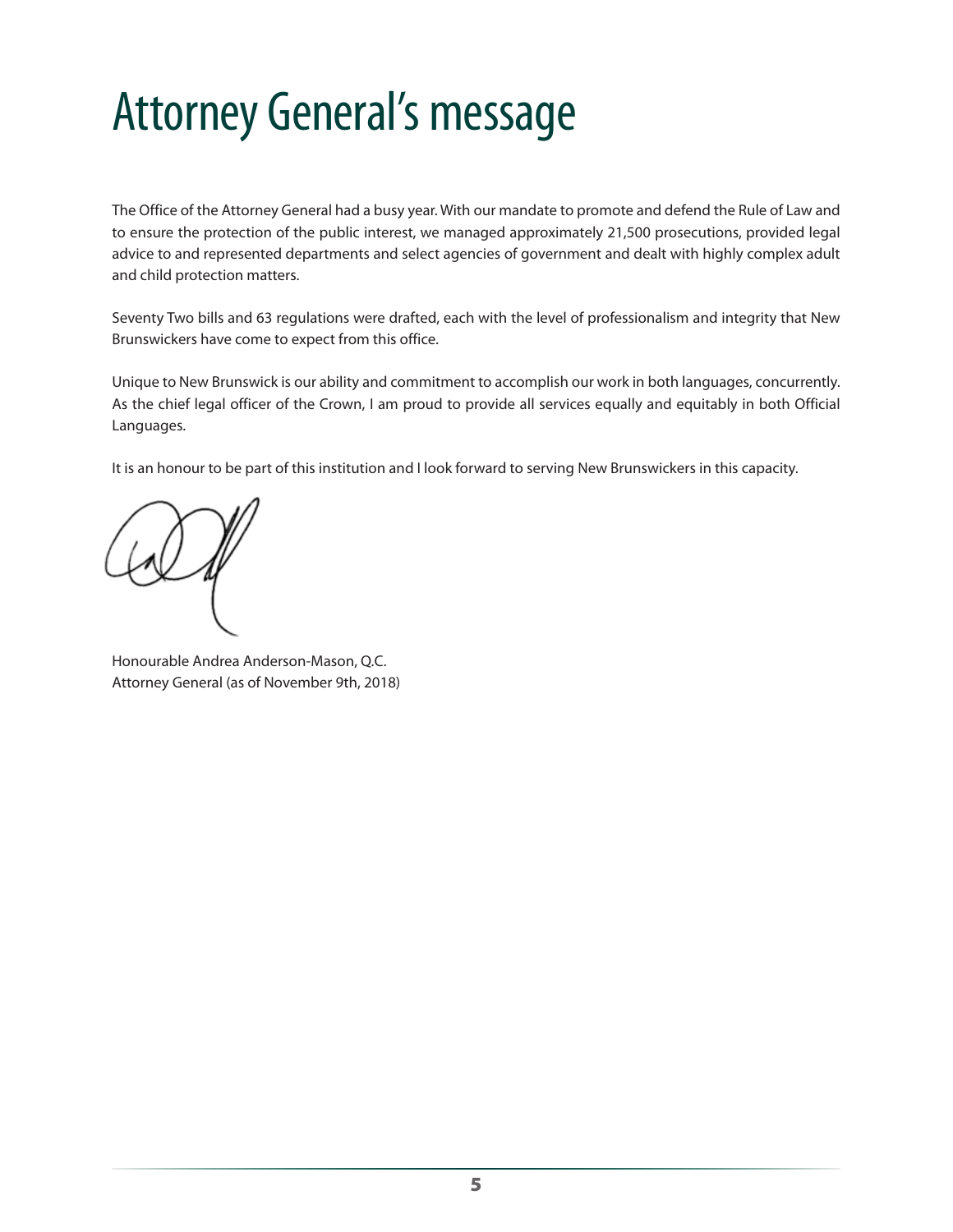# <span id="page-6-0"></span>Attorney General's message

The Office of the Attorney General had a busy year. With our mandate to promote and defend the Rule of Law and to ensure the protection of the public interest, we managed approximately 21,500 prosecutions, provided legal advice to and represented departments and select agencies of government and dealt with highly complex adult and child protection matters.

Seventy Two bills and 63 regulations were drafted, each with the level of professionalism and integrity that New Brunswickers have come to expect from this office.

Unique to New Brunswick is our ability and commitment to accomplish our work in both languages, concurrently. As the chief legal officer of the Crown, I am proud to provide all services equally and equitably in both Official Languages.

It is an honour to be part of this institution and I look forward to serving New Brunswickers in this capacity.

Honourable Andrea Anderson-Mason, Q.C. Attorney General (as of November 9th, 2018)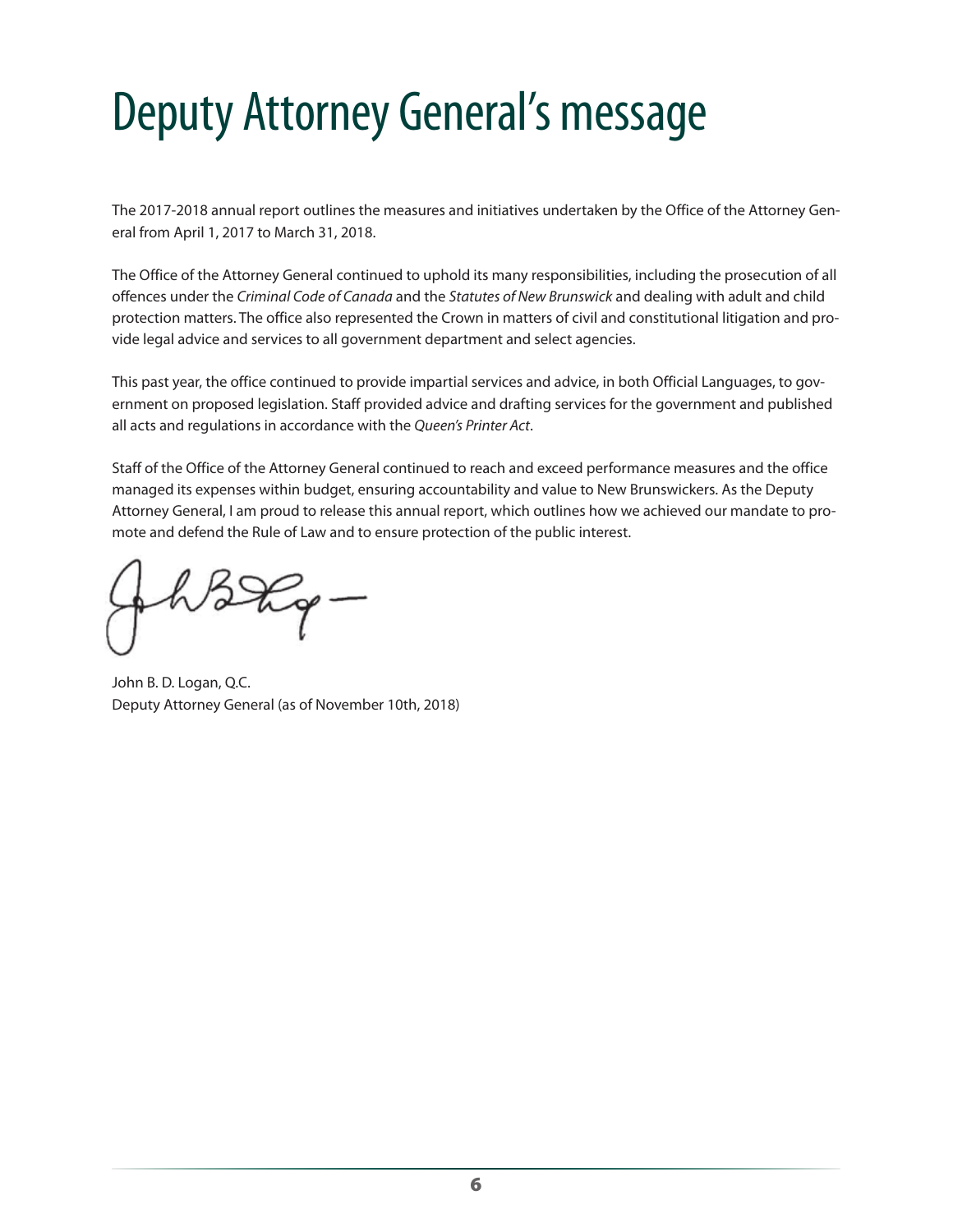# <span id="page-7-0"></span>Deputy Attorney General's message

The 2017-2018 annual report outlines the measures and initiatives undertaken by the Office of the Attorney General from April 1, 2017 to March 31, 2018.

The Office of the Attorney General continued to uphold its many responsibilities, including the prosecution of all offences under the *Criminal Code of Canada* and the *Statutes of New Brunswick* and dealing with adult and child protection matters. The office also represented the Crown in matters of civil and constitutional litigation and provide legal advice and services to all government department and select agencies.

This past year, the office continued to provide impartial services and advice, in both Official Languages, to government on proposed legislation. Staff provided advice and drafting services for the government and published all acts and regulations in accordance with the *Queen's Printer Act*.

Staff of the Office of the Attorney General continued to reach and exceed performance measures and the office managed its expenses within budget, ensuring accountability and value to New Brunswickers. As the Deputy Attorney General, I am proud to release this annual report, which outlines how we achieved our mandate to promote and defend the Rule of Law and to ensure protection of the public interest.

John B. D. Logan, Q.C. Deputy Attorney General (as of November 10th, 2018)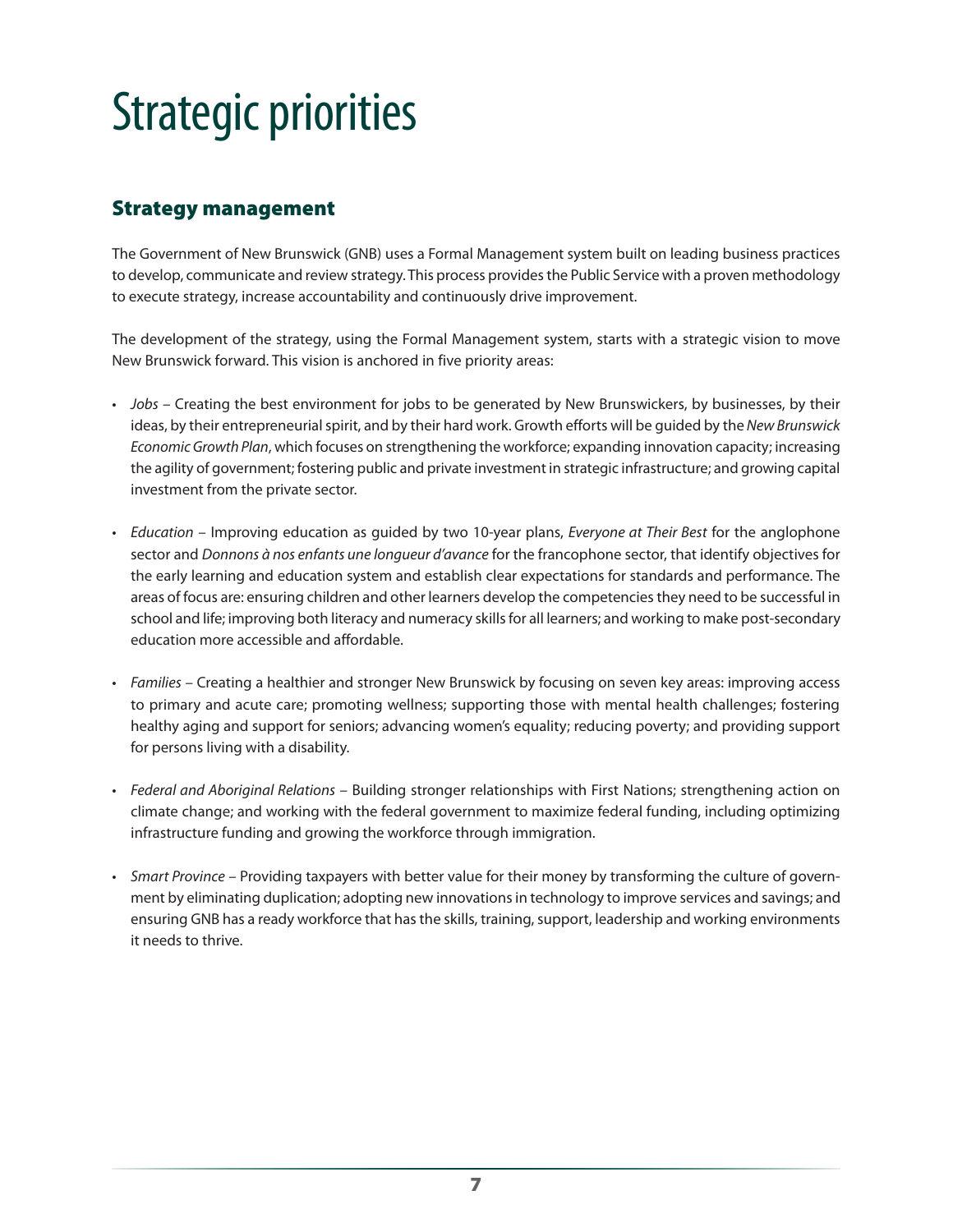# <span id="page-8-0"></span>Strategic priorities

### Strategy management

The Government of New Brunswick (GNB) uses a Formal Management system built on leading business practices to develop, communicate and review strategy. This process provides the Public Service with a proven methodology to execute strategy, increase accountability and continuously drive improvement.

The development of the strategy, using the Formal Management system, starts with a strategic vision to move New Brunswick forward. This vision is anchored in five priority areas:

- *Jobs* Creating the best environment for jobs to be generated by New Brunswickers, by businesses, by their ideas, by their entrepreneurial spirit, and by their hard work. Growth efforts will be guided by the *New Brunswick Economic Growth Plan*, which focuses on strengthening the workforce; expanding innovation capacity; increasing the agility of government; fostering public and private investment in strategic infrastructure; and growing capital investment from the private sector.
- *Education* Improving education as guided by two 10-year plans, *Everyone at Their Best* for the anglophone sector and *Donnons à nos enfants une longueur d'avance* for the francophone sector, that identify objectives for the early learning and education system and establish clear expectations for standards and performance. The areas of focus are: ensuring children and other learners develop the competencies they need to be successful in school and life; improving both literacy and numeracy skills for all learners; and working to make post-secondary education more accessible and affordable.
- *Families* Creating a healthier and stronger New Brunswick by focusing on seven key areas: improving access to primary and acute care; promoting wellness; supporting those with mental health challenges; fostering healthy aging and support for seniors; advancing women's equality; reducing poverty; and providing support for persons living with a disability.
- *Federal and Aboriginal Relations* Building stronger relationships with First Nations; strengthening action on climate change; and working with the federal government to maximize federal funding, including optimizing infrastructure funding and growing the workforce through immigration.
- *Smart Province* Providing taxpayers with better value for their money by transforming the culture of government by eliminating duplication; adopting new innovations in technology to improve services and savings; and ensuring GNB has a ready workforce that has the skills, training, support, leadership and working environments it needs to thrive.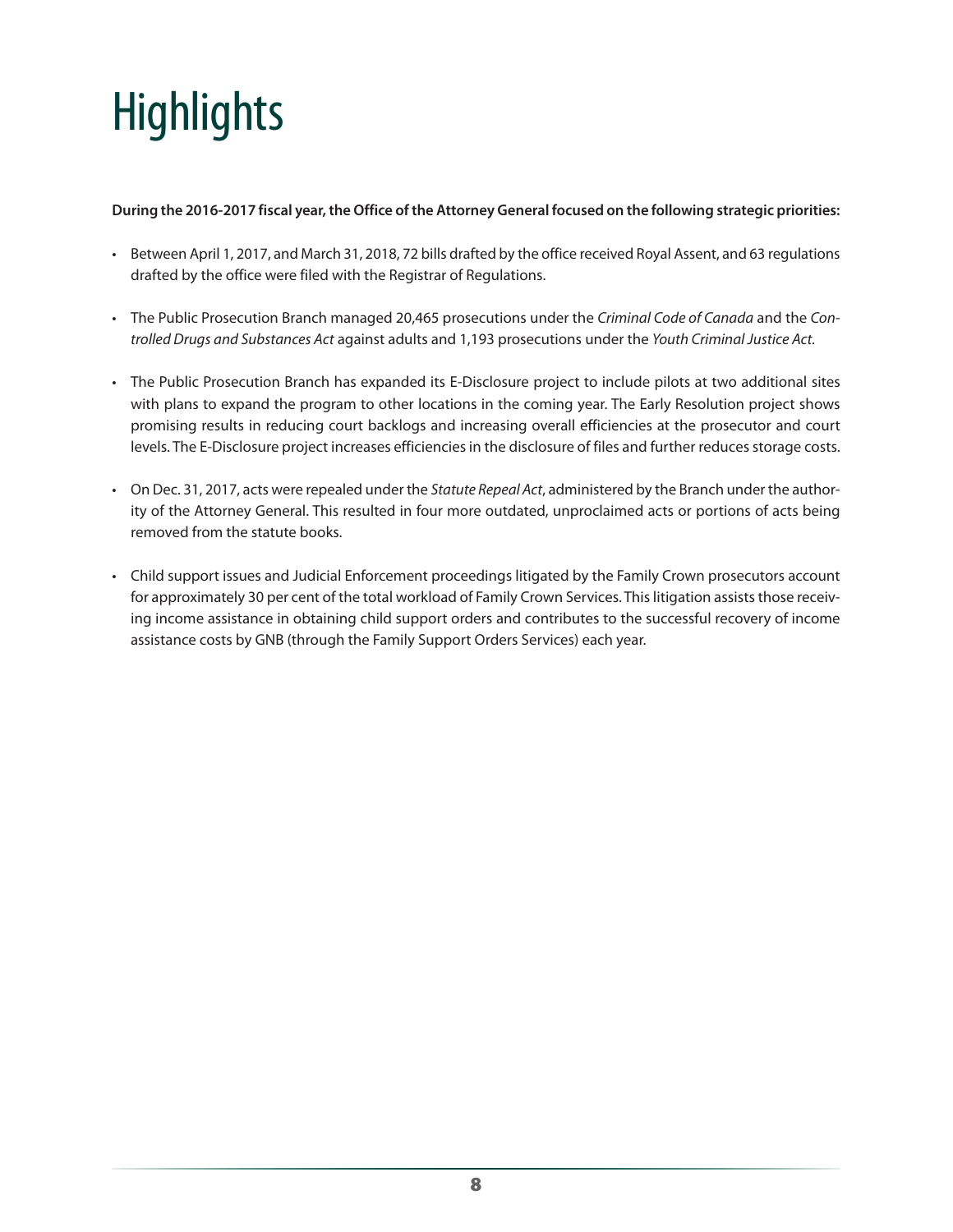# <span id="page-9-0"></span>**Highlights**

#### **During the 2016-2017 fiscal year, the Office of the Attorney General focused on the following strategic priorities:**

- Between April 1, 2017, and March 31, 2018, 72 bills drafted by the office received Royal Assent, and 63 regulations drafted by the office were filed with the Registrar of Regulations.
- The Public Prosecution Branch managed 20,465 prosecutions under the *Criminal Code of Canada* and the *Controlled Drugs and Substances Act* against adults and 1,193 prosecutions under the *Youth Criminal Justice Act.*
- The Public Prosecution Branch has expanded its E-Disclosure project to include pilots at two additional sites with plans to expand the program to other locations in the coming year. The Early Resolution project shows promising results in reducing court backlogs and increasing overall efficiencies at the prosecutor and court levels. The E-Disclosure project increases efficiencies in the disclosure of files and further reduces storage costs.
- On Dec. 31, 2017, acts were repealed under the *Statute Repeal Act*, administered by the Branch under the authority of the Attorney General. This resulted in four more outdated, unproclaimed acts or portions of acts being removed from the statute books.
- Child support issues and Judicial Enforcement proceedings litigated by the Family Crown prosecutors account for approximately 30 per cent of the total workload of Family Crown Services. This litigation assists those receiving income assistance in obtaining child support orders and contributes to the successful recovery of income assistance costs by GNB (through the Family Support Orders Services) each year.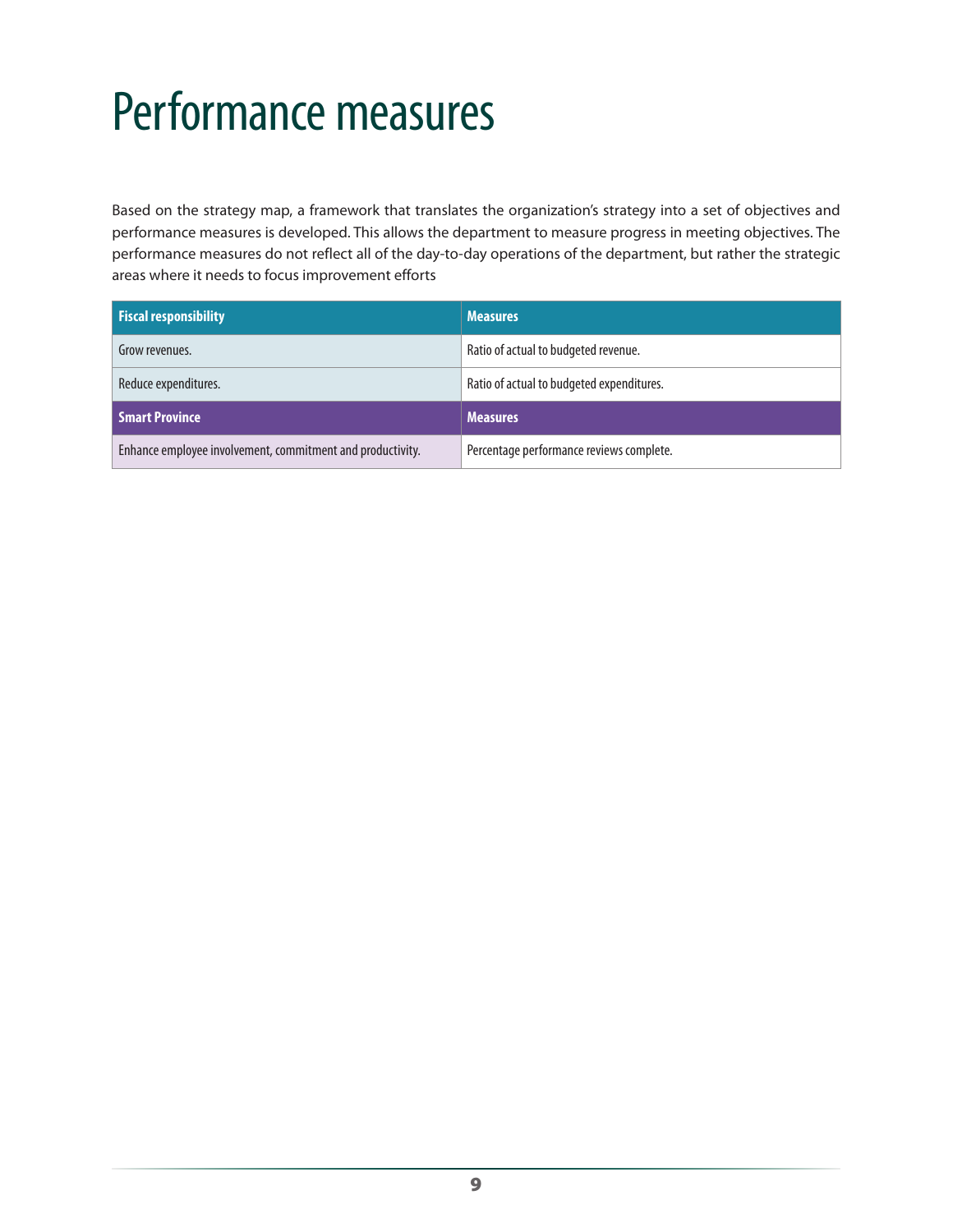# <span id="page-10-0"></span>Performance measures

Based on the strategy map, a framework that translates the organization's strategy into a set of objectives and performance measures is developed. This allows the department to measure progress in meeting objectives. The performance measures do not reflect all of the day-to-day operations of the department, but rather the strategic areas where it needs to focus improvement efforts

| <b>Fiscal responsibility</b>                               | <b>Measures</b>                           |
|------------------------------------------------------------|-------------------------------------------|
| Grow revenues.                                             | Ratio of actual to budgeted revenue.      |
| Reduce expenditures.                                       | Ratio of actual to budgeted expenditures. |
| <b>Smart Province</b>                                      | <b>Measures</b>                           |
| Enhance employee involvement, commitment and productivity. | Percentage performance reviews complete.  |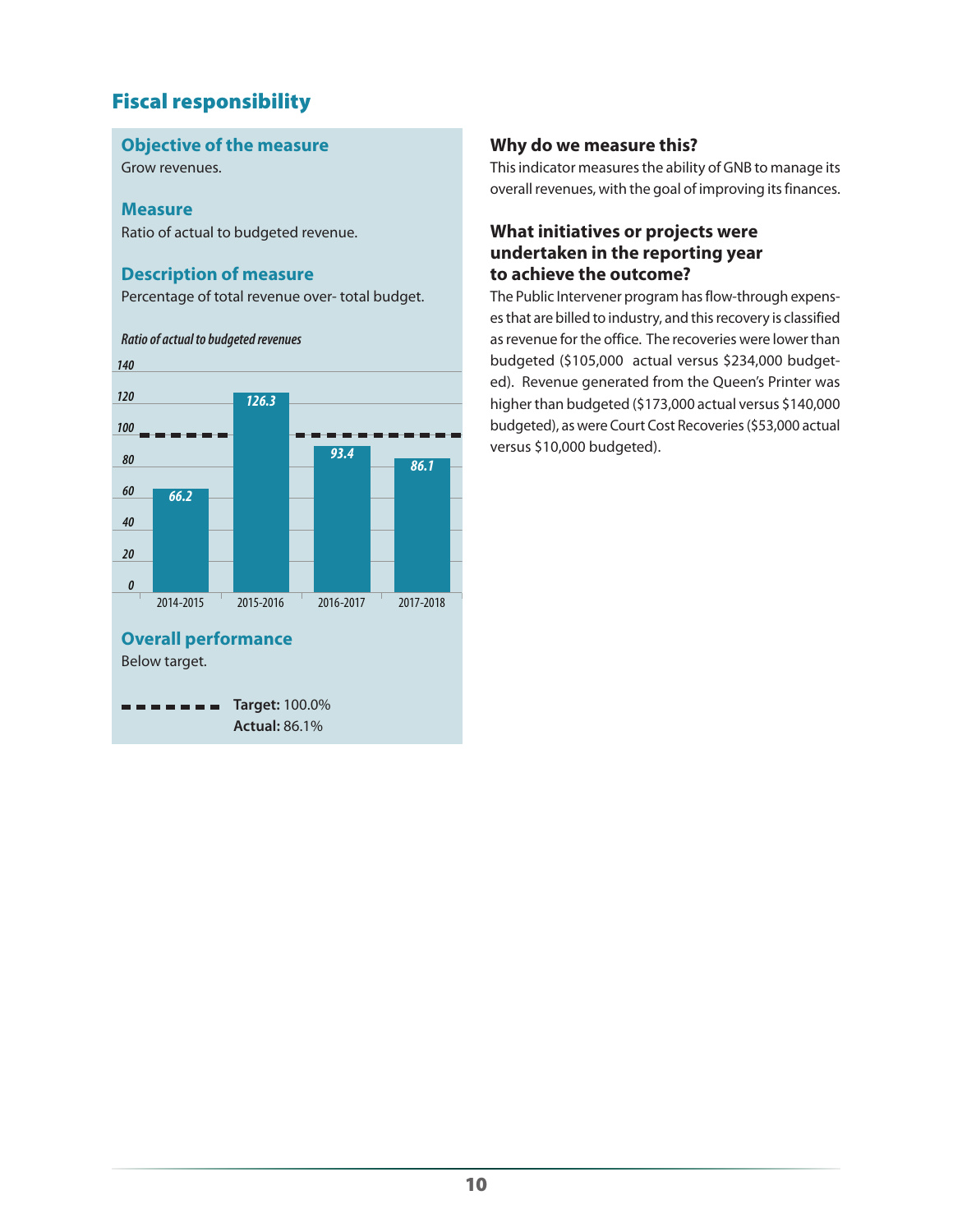### Fiscal responsibility

#### **Objective of the measure**

Grow revenues.

#### **Measure**

Ratio of actual to budgeted revenue.

#### **Description of measure**

*Ratio of actual to budgeted revenues*

Percentage of total revenue over- total budget.

#### *140 120 126.3 100 93.4 80 86.160 66.2 40 20 0* 2014-2015 2015-2016 2016-2017 2017-2018 **Overall performance** Below target. **Target:** 100.0% *<u>ALC ALC AD</u>* **Actual:** 86.1%

#### **Why do we measure this?**

This indicator measures the ability of GNB to manage its overall revenues, with the goal of improving its finances.

#### **What initiatives or projects were undertaken in the reporting year to achieve the outcome?**

The Public Intervener program has flow-through expenses that are billed to industry, and this recovery is classified as revenue for the office. The recoveries were lower than budgeted (\$105,000 actual versus \$234,000 budgeted). Revenue generated from the Queen's Printer was higher than budgeted (\$173,000 actual versus \$140,000 budgeted), as were Court Cost Recoveries (\$53,000 actual versus \$10,000 budgeted).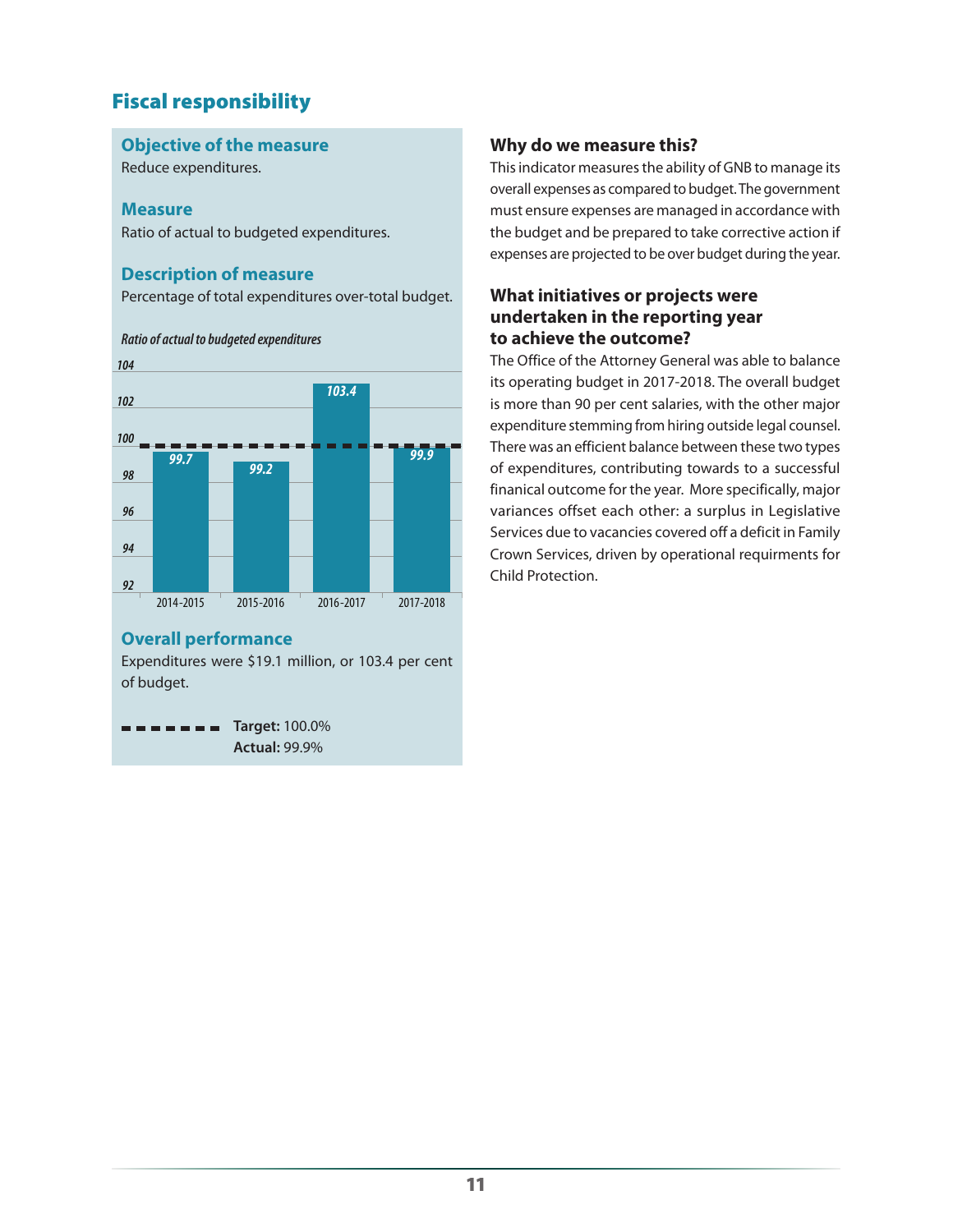## Fiscal responsibility

#### **Objective of the measure**

Reduce expenditures.

#### **Measure**

Ratio of actual to budgeted expenditures.

#### **Description of measure**

Percentage of total expenditures over-total budget.



#### **Overall performance**

Expenditures were \$19.1 million, or 103.4 per cent of budget.

**Target:** 100.0% **Actual:** 99.9%

#### **Why do we measure this?**

This indicator measures the ability of GNB to manage its overall expenses as compared to budget. The government must ensure expenses are managed in accordance with the budget and be prepared to take corrective action if expenses are projected to be over budget during the year.

#### **What initiatives or projects were undertaken in the reporting year to achieve the outcome?**

The Office of the Attorney General was able to balance its operating budget in 2017-2018. The overall budget is more than 90 per cent salaries, with the other major expenditure stemming from hiring outside legal counsel. There was an efficient balance between these two types of expenditures, contributing towards to a successful finanical outcome for the year. More specifically, major variances offset each other: a surplus in Legislative Services due to vacancies covered off a deficit in Family Crown Services, driven by operational requirments for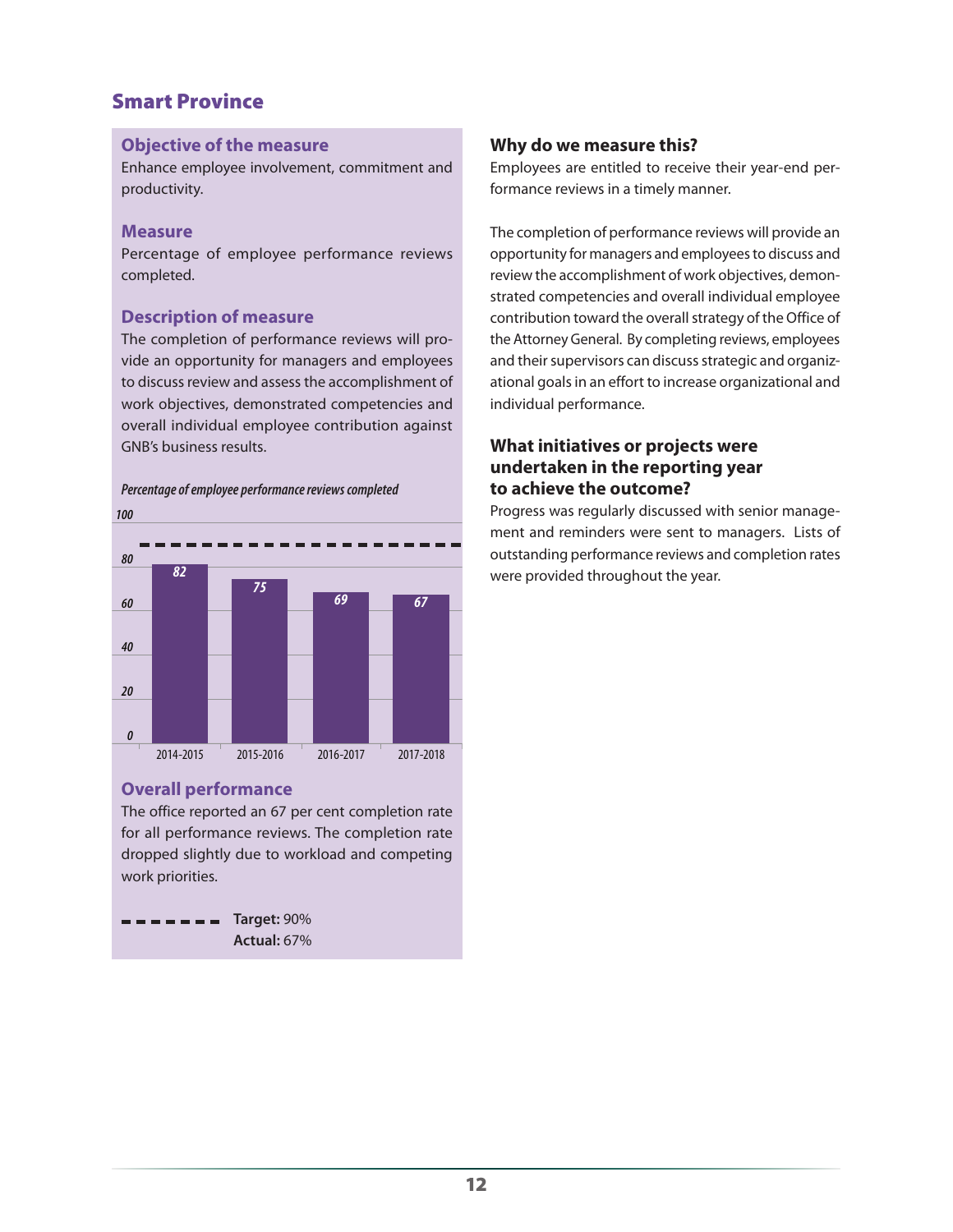### Smart Province

#### **Objective of the measure**

Enhance employee involvement, commitment and productivity.

#### **Measure**

Percentage of employee performance reviews completed.

#### **Description of measure**

The completion of performance reviews will provide an opportunity for managers and employees to discuss review and assess the accomplishment of work objectives, demonstrated competencies and overall individual employee contribution against GNB's business results.



#### **Overall performance**

The office reported an 67 per cent completion rate for all performance reviews. The completion rate dropped slightly due to workload and competing work priorities.



#### **Why do we measure this?**

Employees are entitled to receive their year-end performance reviews in a timely manner.

The completion of performance reviews will provide an opportunity for managers and employees to discuss and review the accomplishment of work objectives, demonstrated competencies and overall individual employee contribution toward the overall strategy of the Office of the Attorney General. By completing reviews, employees and their supervisors can discuss strategic and organizational goals in an effort to increase organizational and individual performance.

#### **What initiatives or projects were undertaken in the reporting year to achieve the outcome?**

Progress was regularly discussed with senior management and reminders were sent to managers. Lists of outstanding performance reviews and completion rates were provided throughout the year.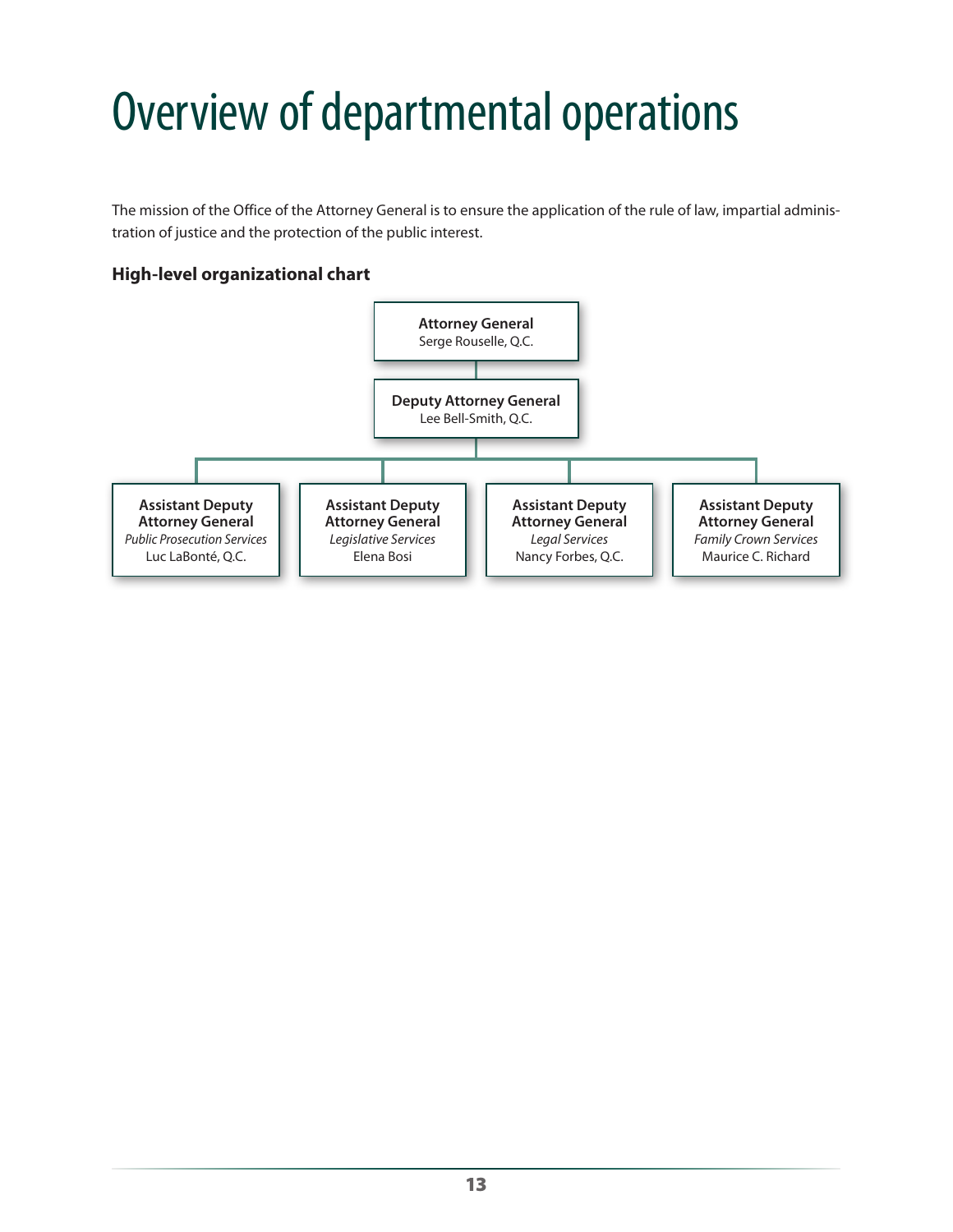# <span id="page-14-0"></span>Overview of departmental operations

The mission of the Office of the Attorney General is to ensure the application of the rule of law, impartial administration of justice and the protection of the public interest.

#### **High-level organizational chart**

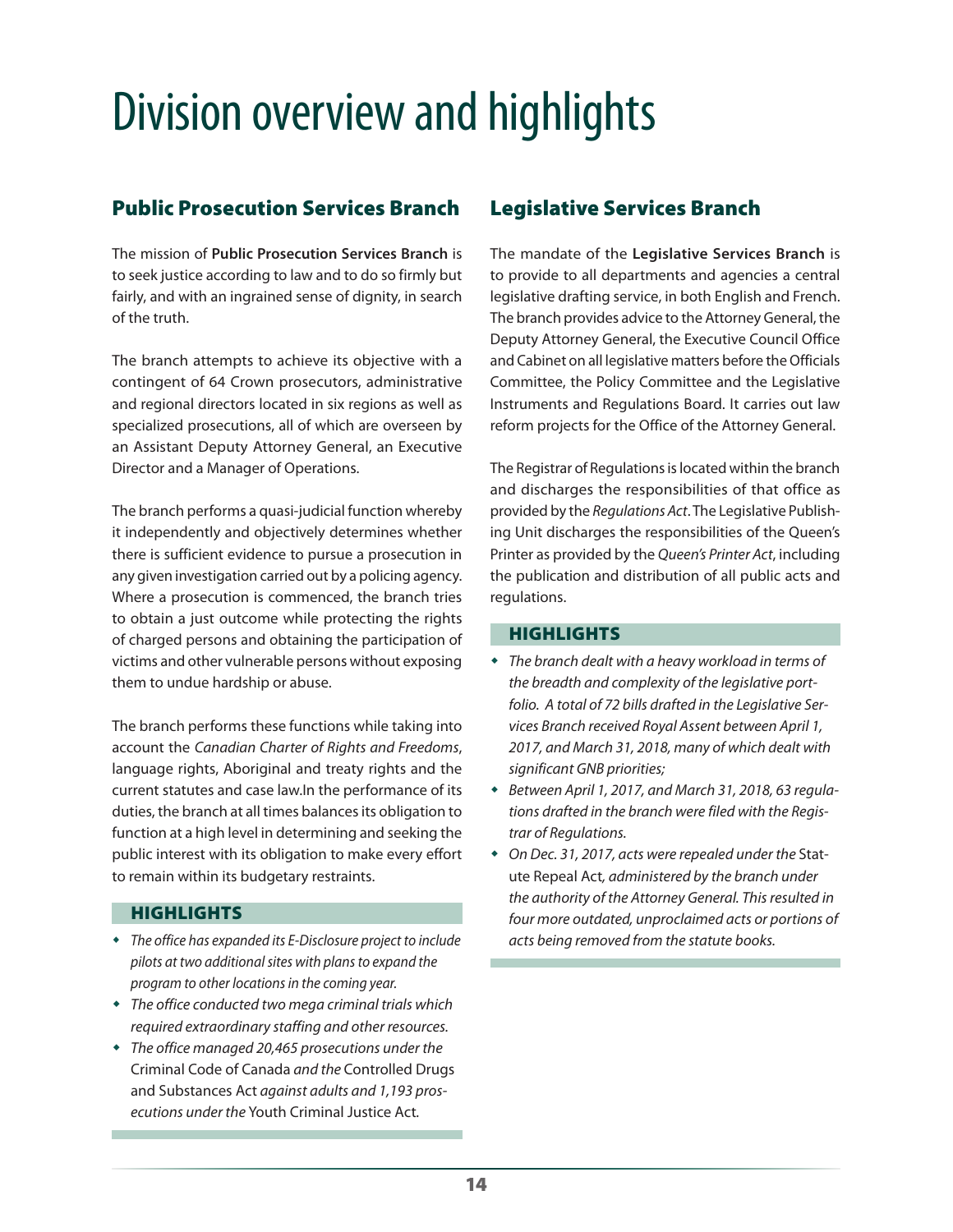# <span id="page-15-0"></span>Division overview and highlights

### Public Prosecution Services Branch

The mission of **Public Prosecution Services Branch** is to seek justice according to law and to do so firmly but fairly, and with an ingrained sense of dignity, in search of the truth.

The branch attempts to achieve its objective with a contingent of 64 Crown prosecutors, administrative and regional directors located in six regions as well as specialized prosecutions, all of which are overseen by an Assistant Deputy Attorney General, an Executive Director and a Manager of Operations.

The branch performs a quasi-judicial function whereby it independently and objectively determines whether there is sufficient evidence to pursue a prosecution in any given investigation carried out by a policing agency. Where a prosecution is commenced, the branch tries to obtain a just outcome while protecting the rights of charged persons and obtaining the participation of victims and other vulnerable persons without exposing them to undue hardship or abuse.

The branch performs these functions while taking into account the *Canadian Charter of Rights and Freedoms*, language rights, Aboriginal and treaty rights and the current statutes and case law.In the performance of its duties, the branch at all times balances its obligation to function at a high level in determining and seeking the public interest with its obligation to make every effort to remain within its budgetary restraints.

#### **HIGHLIGHTS**

- *The office has expanded its E-Disclosure project to include pilots at two additional sites with plans to expand the program to other locations in the coming year.*
- *The office conducted two mega criminal trials which required extraordinary staffing and other resources.*
- *The office managed 20,465 prosecutions under the*  Criminal Code of Canada *and the* Controlled Drugs and Substances Act *against adults and 1,193 prosecutions under the* Youth Criminal Justice Act*.*

### Legislative Services Branch

The mandate of the **Legislative Services Branch** is to provide to all departments and agencies a central legislative drafting service, in both English and French. The branch provides advice to the Attorney General, the Deputy Attorney General, the Executive Council Office and Cabinet on all legislative matters before the Officials Committee, the Policy Committee and the Legislative Instruments and Regulations Board. It carries out law reform projects for the Office of the Attorney General.

The Registrar of Regulations is located within the branch and discharges the responsibilities of that office as provided by the *Regulations Act*. The Legislative Publishing Unit discharges the responsibilities of the Queen's Printer as provided by the *Queen's Printer Act*, including the publication and distribution of all public acts and regulations.

#### **HIGHLIGHTS**

- *The branch dealt with a heavy workload in terms of the breadth and complexity of the legislative portfolio. A total of 72 bills drafted in the Legislative Services Branch received Royal Assent between April 1, 2017, and March 31, 2018, many of which dealt with significant GNB priorities;*
- *Between April 1, 2017, and March 31, 2018, 63 regulations drafted in the branch were filed with the Registrar of Regulations.*
- *On Dec. 31, 2017, acts were repealed under the* Statute Repeal Act*, administered by the branch under the authority of the Attorney General. This resulted in four more outdated, unproclaimed acts or portions of acts being removed from the statute books.*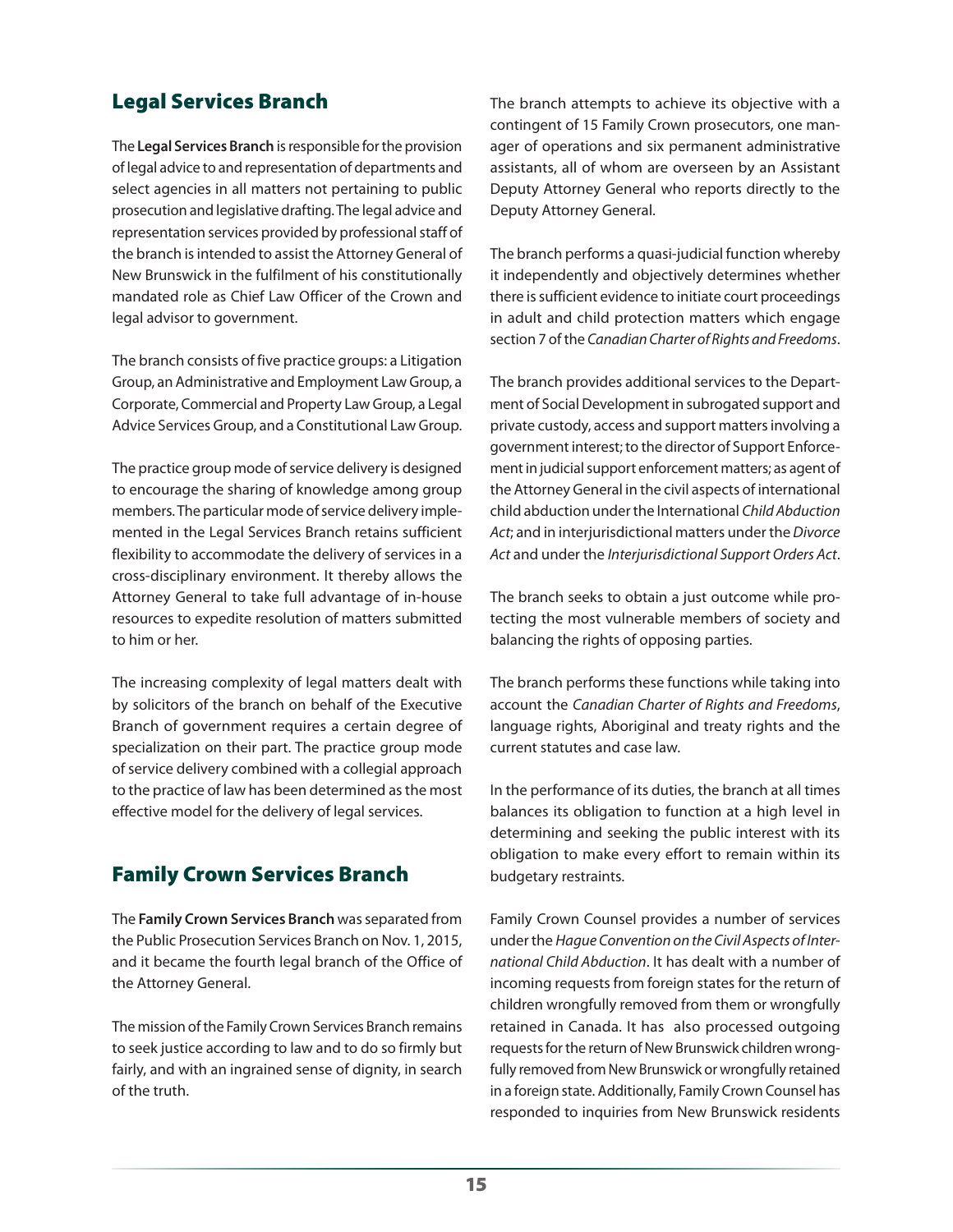### Legal Services Branch

The **Legal Services Branch** is responsible for the provision of legal advice to and representation of departments and select agencies in all matters not pertaining to public prosecution and legislative drafting. The legal advice and representation services provided by professional staff of the branch is intended to assist the Attorney General of New Brunswick in the fulfilment of his constitutionally mandated role as Chief Law Officer of the Crown and legal advisor to government.

The branch consists of five practice groups: a Litigation Group, an Administrative and Employment Law Group, a Corporate, Commercial and Property Law Group, a Legal Advice Services Group, and a Constitutional Law Group.

The practice group mode of service delivery is designed to encourage the sharing of knowledge among group members. The particular mode of service delivery implemented in the Legal Services Branch retains sufficient flexibility to accommodate the delivery of services in a cross-disciplinary environment. It thereby allows the Attorney General to take full advantage of in-house resources to expedite resolution of matters submitted to him or her.

The increasing complexity of legal matters dealt with by solicitors of the branch on behalf of the Executive Branch of government requires a certain degree of specialization on their part. The practice group mode of service delivery combined with a collegial approach to the practice of law has been determined as the most effective model for the delivery of legal services.

### Family Crown Services Branch

The **Family Crown Services Branch** was separated from the Public Prosecution Services Branch on Nov. 1, 2015, and it became the fourth legal branch of the Office of the Attorney General.

The mission of the Family Crown Services Branch remains to seek justice according to law and to do so firmly but fairly, and with an ingrained sense of dignity, in search of the truth.

The branch attempts to achieve its objective with a contingent of 15 Family Crown prosecutors, one manager of operations and six permanent administrative assistants, all of whom are overseen by an Assistant Deputy Attorney General who reports directly to the Deputy Attorney General.

The branch performs a quasi-judicial function whereby it independently and objectively determines whether there is sufficient evidence to initiate court proceedings in adult and child protection matters which engage section 7 of the *Canadian Charter of Rights and Freedoms*.

The branch provides additional services to the Department of Social Development in subrogated support and private custody, access and support matters involving a government interest; to the director of Support Enforcement in judicial support enforcement matters; as agent of the Attorney General in the civil aspects of international child abduction under the International *Child Abduction Act*; and in interjurisdictional matters under the *Divorce Act* and under the *Interjurisdictional Support Orders Act*.

The branch seeks to obtain a just outcome while protecting the most vulnerable members of society and balancing the rights of opposing parties.

The branch performs these functions while taking into account the *Canadian Charter of Rights and Freedoms*, language rights, Aboriginal and treaty rights and the current statutes and case law.

In the performance of its duties, the branch at all times balances its obligation to function at a high level in determining and seeking the public interest with its obligation to make every effort to remain within its budgetary restraints.

Family Crown Counsel provides a number of services under the *Hague Convention on the Civil Aspects of International Child Abduction*. It has dealt with a number of incoming requests from foreign states for the return of children wrongfully removed from them or wrongfully retained in Canada. It has also processed outgoing requests for the return of New Brunswick children wrongfully removed from New Brunswick or wrongfully retained in a foreign state. Additionally, Family Crown Counsel has responded to inquiries from New Brunswick residents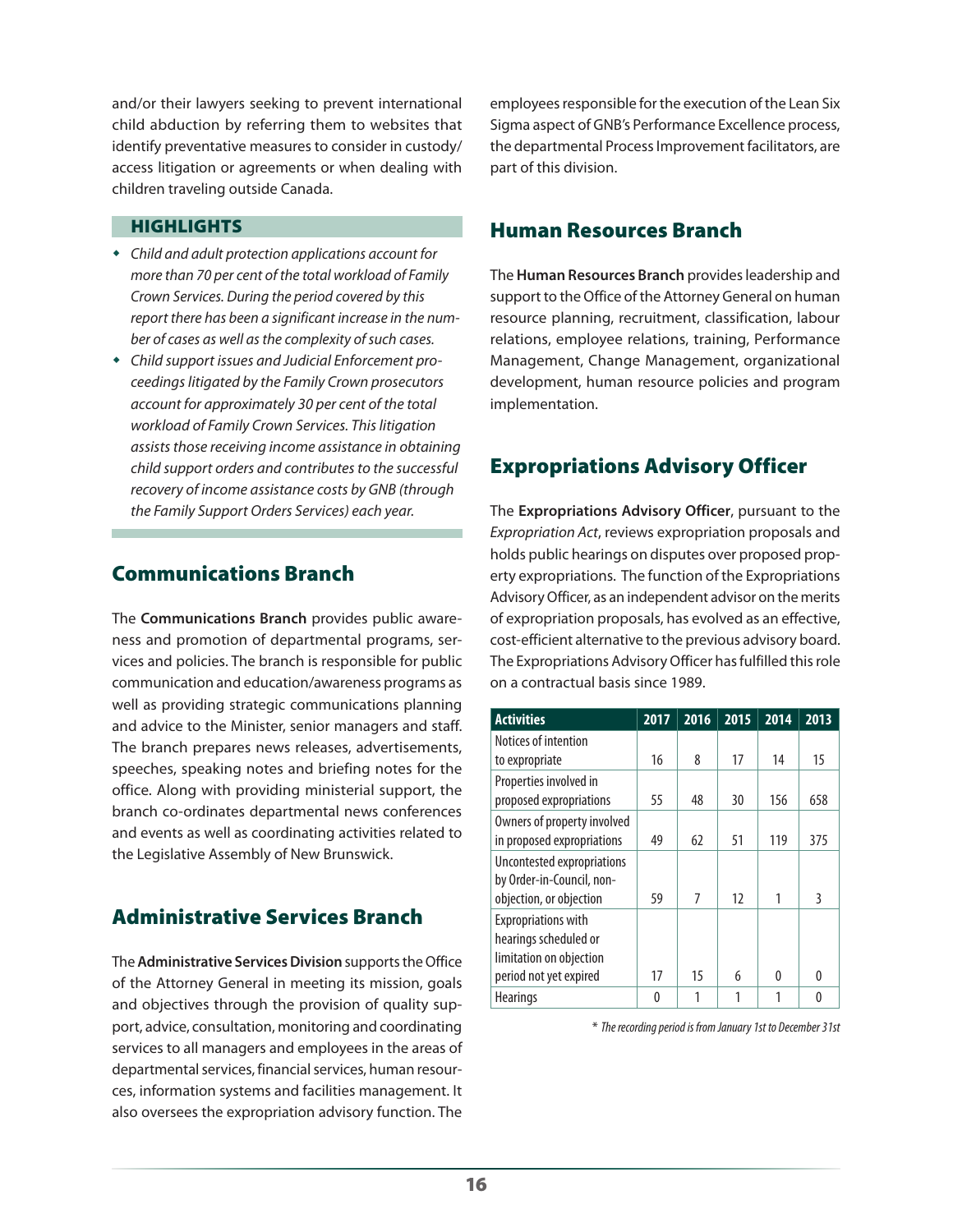and/or their lawyers seeking to prevent international child abduction by referring them to websites that identify preventative measures to consider in custody/ access litigation or agreements or when dealing with children traveling outside Canada.

#### **HIGHLIGHTS**

- *Child and adult protection applications account for more than 70 per cent of the total workload of Family Crown Services. During the period covered by this report there has been a significant increase in the number of cases as well as the complexity of such cases.*
- *Child support issues and Judicial Enforcement proceedings litigated by the Family Crown prosecutors account for approximately 30 per cent of the total workload of Family Crown Services. This litigation assists those receiving income assistance in obtaining child support orders and contributes to the successful recovery of income assistance costs by GNB (through the Family Support Orders Services) each year.*

### Communications Branch

The **Communications Branch** provides public awareness and promotion of departmental programs, services and policies. The branch is responsible for public communication and education/awareness programs as well as providing strategic communications planning and advice to the Minister, senior managers and staff. The branch prepares news releases, advertisements, speeches, speaking notes and briefing notes for the office. Along with providing ministerial support, the branch co-ordinates departmental news conferences and events as well as coordinating activities related to the Legislative Assembly of New Brunswick.

### Administrative Services Branch

The **Administrative Services Division** supports the Office of the Attorney General in meeting its mission, goals and objectives through the provision of quality support, advice, consultation, monitoring and coordinating services to all managers and employees in the areas of departmental services, financial services, human resources, information systems and facilities management. It also oversees the expropriation advisory function. The

employees responsible for the execution of the Lean Six Sigma aspect of GNB's Performance Excellence process, the departmental Process Improvement facilitators, are part of this division.

### Human Resources Branch

The **Human Resources Branch** provides leadership and support to the Office of the Attorney General on human resource planning, recruitment, classification, labour relations, employee relations, training, Performance Management, Change Management, organizational development, human resource policies and program implementation.

### Expropriations Advisory Officer

The **Expropriations Advisory Officer**, pursuant to the *Expropriation Act*, reviews expropriation proposals and holds public hearings on disputes over proposed property expropriations. The function of the Expropriations Advisory Officer, as an independent advisor on the merits of expropriation proposals, has evolved as an effective, cost-efficient alternative to the previous advisory board. The Expropriations Advisory Officer has fulfilled this role on a contractual basis since 1989.

| <b>Activities</b>           | 2017     | 2016 | 2015 | 2014 | 2013     |
|-----------------------------|----------|------|------|------|----------|
| Notices of intention        |          |      |      |      |          |
| to expropriate              | 16       | 8    | 17   | 14   | 15       |
| Properties involved in      |          |      |      |      |          |
| proposed expropriations     | 55       | 48   | 30   | 156  | 658      |
| Owners of property involved |          |      |      |      |          |
| in proposed expropriations  | 49       | 62   | 51   | 119  | 375      |
| Uncontested expropriations  |          |      |      |      |          |
| by Order-in-Council, non-   |          |      |      |      |          |
| objection, or objection     | 59       | 7    | 12   | 1    | 3        |
| <b>Expropriations with</b>  |          |      |      |      |          |
| hearings scheduled or       |          |      |      |      |          |
| limitation on objection     |          |      |      |      |          |
| period not yet expired      | 17       | 15   | 6    | 0    | 0        |
| <b>Hearings</b>             | $\Omega$ | 1    | 1    | 1    | $\Omega$ |

\* *The recording period is from January 1st to December 31st*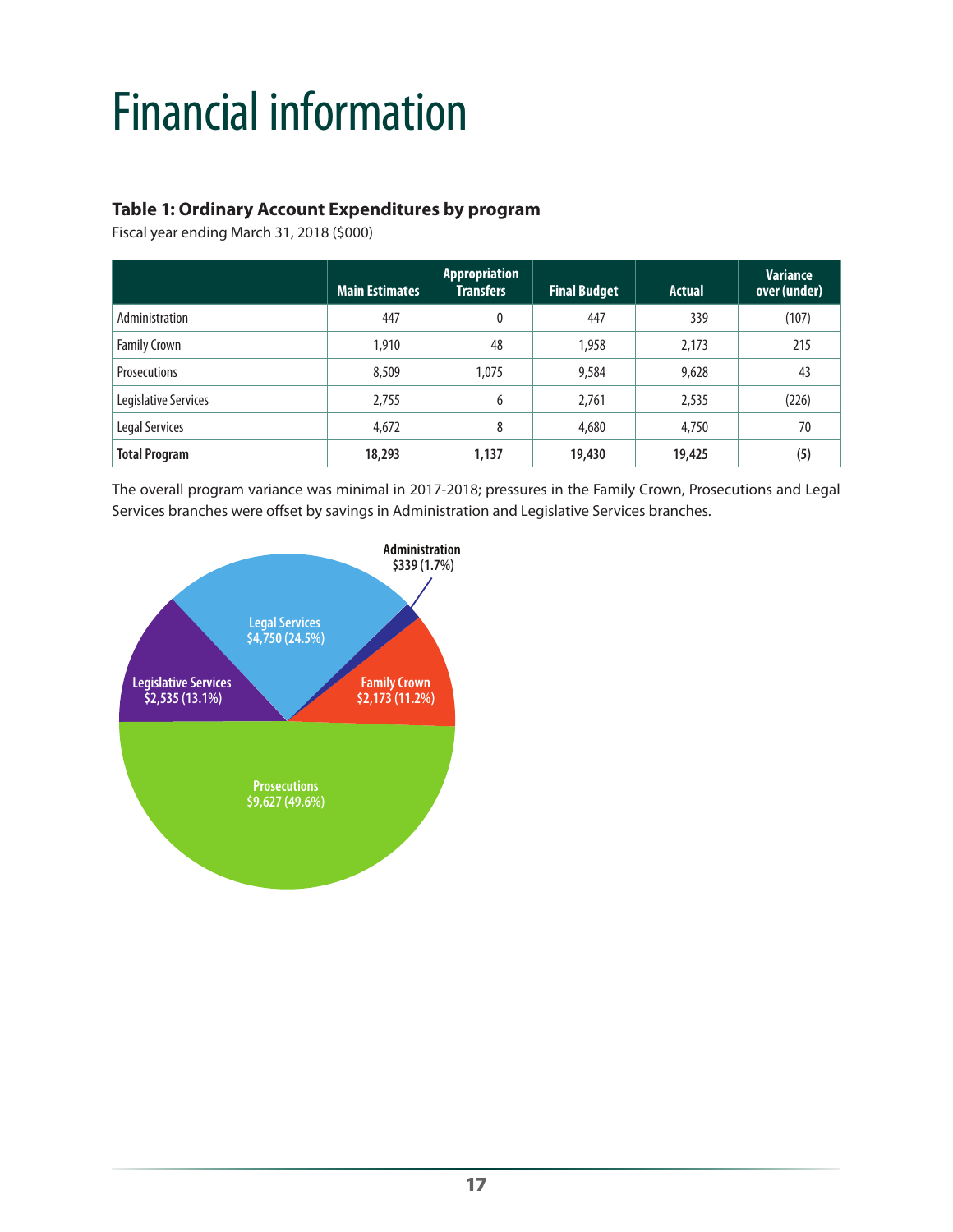# <span id="page-18-0"></span>Financial information

### **Table 1: Ordinary Account Expenditures by program**

Fiscal year ending March 31, 2018 (\$000)

|                      | <b>Main Estimates</b> | Appropriation<br><b>Transfers</b> | <b>Final Budget</b> | <b>Actual</b> | <b>Variance</b><br>over (under) |
|----------------------|-----------------------|-----------------------------------|---------------------|---------------|---------------------------------|
| Administration       | 447                   | $\mathbf{0}$                      | 447                 | 339           | (107)                           |
| <b>Family Crown</b>  | 1,910                 | 48                                | 1,958               | 2,173         | 215                             |
| <b>Prosecutions</b>  | 8,509                 | 1,075                             | 9,584               | 9,628         | 43                              |
| Legislative Services | 2,755                 | 6                                 | 2,761               | 2,535         | (226)                           |
| Legal Services       | 4,672                 | 8                                 | 4,680               | 4,750         | 70                              |
| <b>Total Program</b> | 18,293                | 1,137                             | 19,430              | 19,425        | (5)                             |

The overall program variance was minimal in 2017-2018; pressures in the Family Crown, Prosecutions and Legal Services branches were offset by savings in Administration and Legislative Services branches.

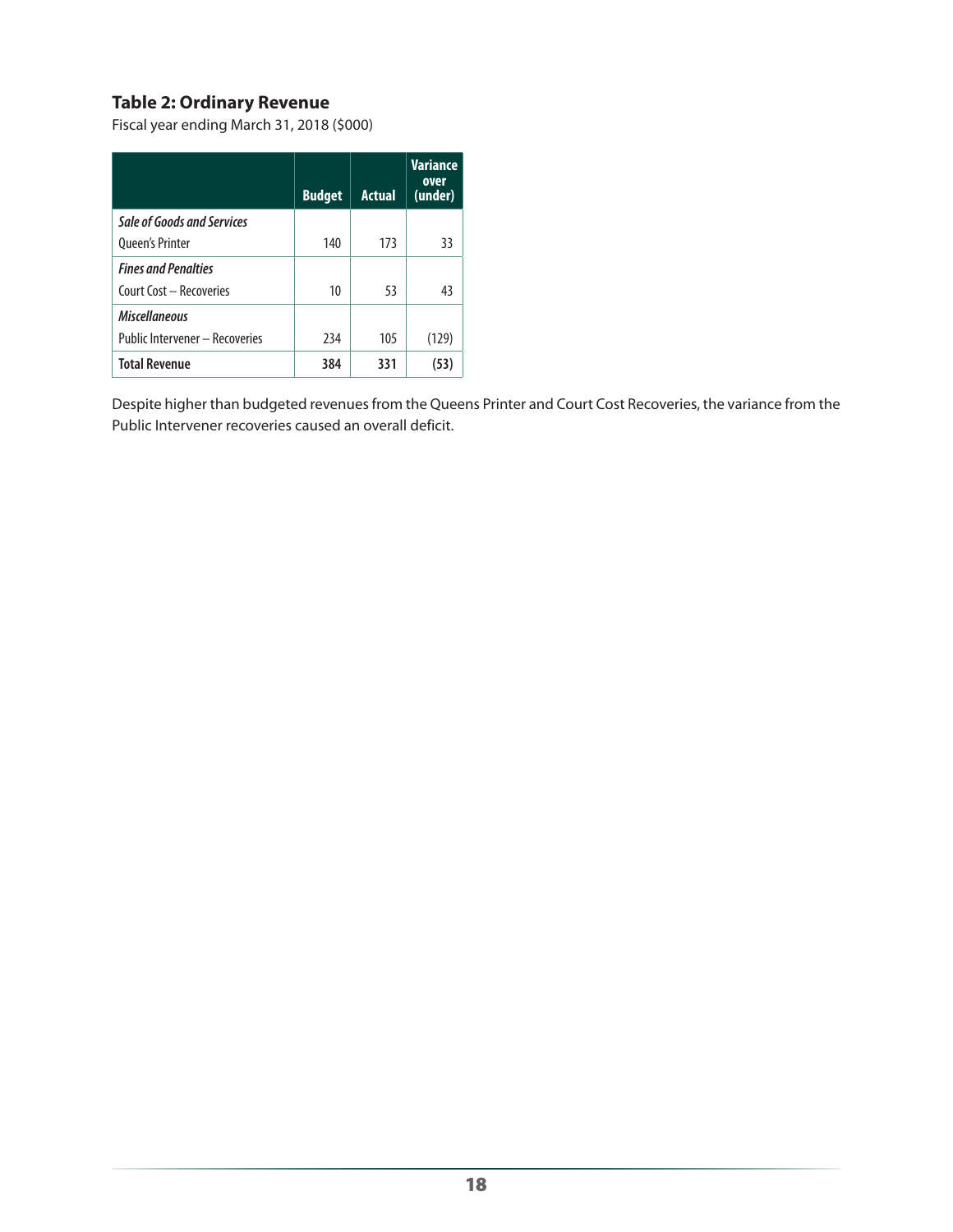#### **Table 2: Ordinary Revenue**

Fiscal year ending March 31, 2018 (\$000)

|                                | <b>Budget</b> | <b>Actual</b> | <b>Variance</b><br>over<br>(under) |
|--------------------------------|---------------|---------------|------------------------------------|
| Sale of Goods and Services     |               |               |                                    |
| <b>Queen's Printer</b>         | 140           | 173           | 33                                 |
| <b>Fines and Penalties</b>     |               |               |                                    |
| Court Cost - Recoveries        | 10            | 53            | 43                                 |
| <b>Miscellaneous</b>           |               |               |                                    |
| Public Intervener - Recoveries | 234           | 105           | (129                               |
| <b>Total Revenue</b>           | 384           | 331           |                                    |

Despite higher than budgeted revenues from the Queens Printer and Court Cost Recoveries, the variance from the Public Intervener recoveries caused an overall deficit.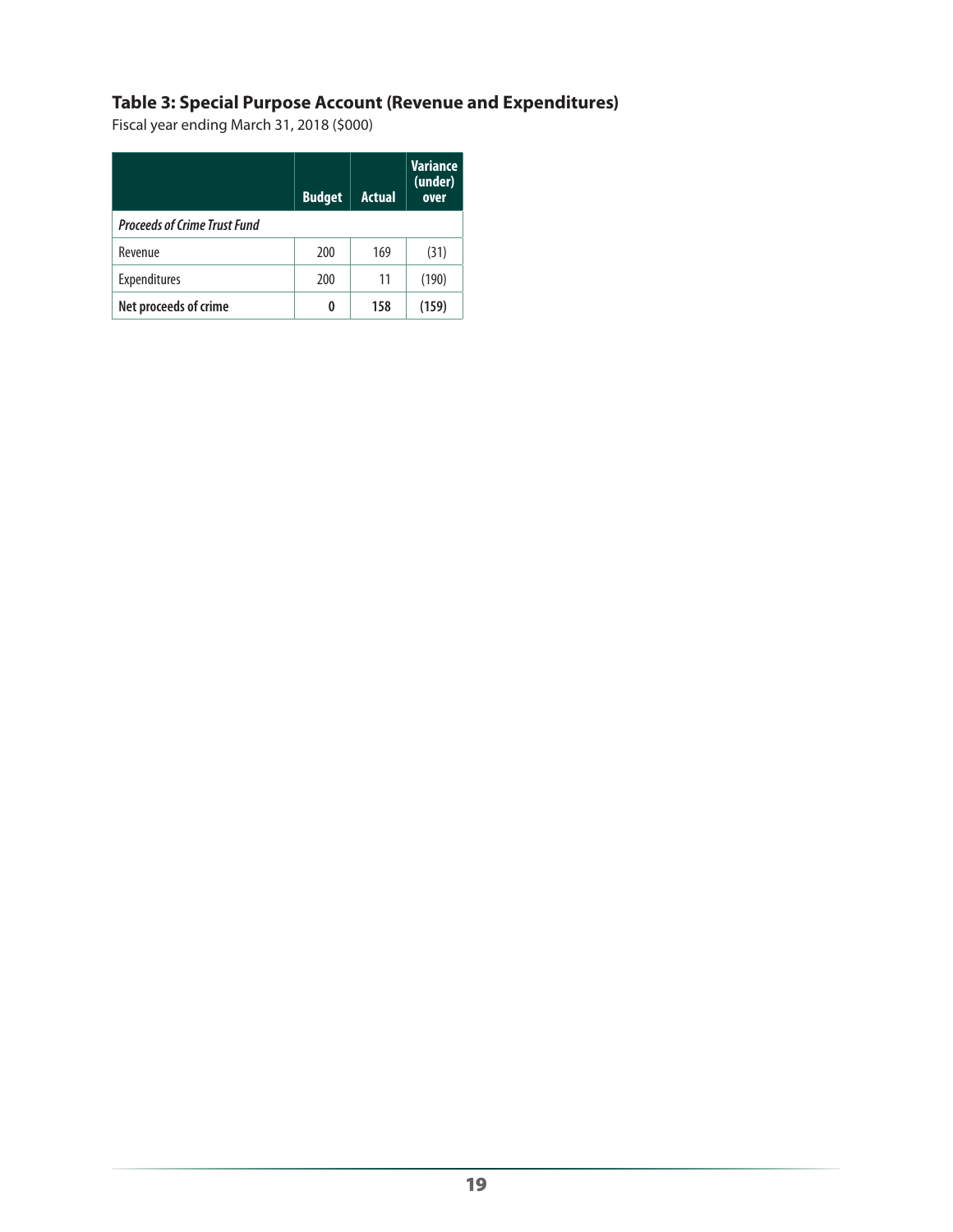### **Table 3: Special Purpose Account (Revenue and Expenditures)**

Fiscal year ending March 31, 2018 (\$000)

|                                     | <b>Budget</b> | <b>Actual</b> | <b>Variance</b><br>(under)<br>over |
|-------------------------------------|---------------|---------------|------------------------------------|
| <b>Proceeds of Crime Trust Fund</b> |               |               |                                    |
| Revenue                             | 200           | 169           | (31)                               |
| Expenditures                        | 200           | 11            | (190)                              |
| Net proceeds of crime               | 0             | 158           | (159)                              |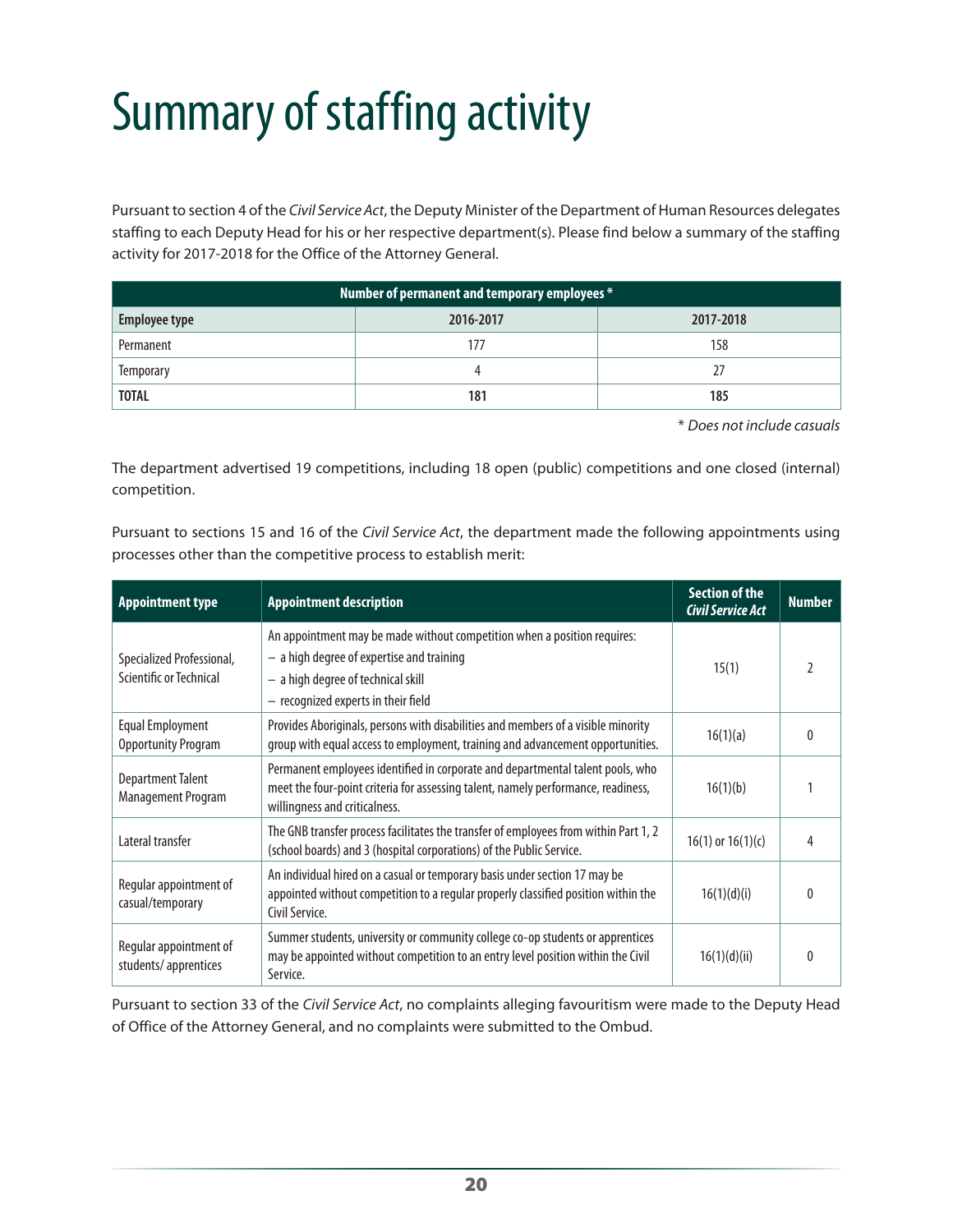# <span id="page-21-0"></span>Summary of staffing activity

Pursuant to section 4 of the *Civil Service Act*, the Deputy Minister of the Department of Human Resources delegates staffing to each Deputy Head for his or her respective department(s). Please find below a summary of the staffing activity for 2017-2018 for the Office of the Attorney General.

| Number of permanent and temporary employees * |           |           |  |  |
|-----------------------------------------------|-----------|-----------|--|--|
| <b>Employee type</b>                          | 2016-2017 | 2017-2018 |  |  |
| Permanent                                     | 177       | 158       |  |  |
| <b>Temporary</b>                              |           | 27        |  |  |
| <b>TOTAL</b>                                  | 181       | 185       |  |  |

\* *Does not include casuals*

The department advertised 19 competitions, including 18 open (public) competitions and one closed (internal) competition.

Pursuant to sections 15 and 16 of the *Civil Service Act*, the department made the following appointments using processes other than the competitive process to establish merit:

| <b>Appointment type</b>                               | <b>Appointment description</b>                                                                                                                                                                       | <b>Section of the</b><br><b>Civil Service Act</b> | <b>Number</b> |
|-------------------------------------------------------|------------------------------------------------------------------------------------------------------------------------------------------------------------------------------------------------------|---------------------------------------------------|---------------|
| Specialized Professional,<br>Scientific or Technical  | An appointment may be made without competition when a position requires:<br>$-$ a high degree of expertise and training<br>- a high degree of technical skill<br>- recognized experts in their field | 15(1)                                             |               |
| <b>Equal Employment</b><br><b>Opportunity Program</b> | Provides Aboriginals, persons with disabilities and members of a visible minority<br>group with equal access to employment, training and advancement opportunities.                                  | 16(1)(a)                                          |               |
| <b>Department Talent</b><br>Management Program        | Permanent employees identified in corporate and departmental talent pools, who<br>meet the four-point criteria for assessing talent, namely performance, readiness,<br>willingness and criticalness. | 16(1)(b)                                          |               |
| Lateral transfer                                      | The GNB transfer process facilitates the transfer of employees from within Part 1, 2<br>(school boards) and 3 (hospital corporations) of the Public Service.                                         | $16(1)$ or $16(1)(c)$                             |               |
| Regular appointment of<br>casual/temporary            | An individual hired on a casual or temporary basis under section 17 may be<br>appointed without competition to a regular properly classified position within the<br>Civil Service.                   | 16(1)(d)(i)                                       |               |
| Regular appointment of<br>students/apprentices        | Summer students, university or community college co-op students or apprentices<br>may be appointed without competition to an entry level position within the Civil<br>Service.                       | 16(1)(d)(ii)                                      |               |

Pursuant to section 33 of the *Civil Service Act*, no complaints alleging favouritism were made to the Deputy Head of Office of the Attorney General, and no complaints were submitted to the Ombud.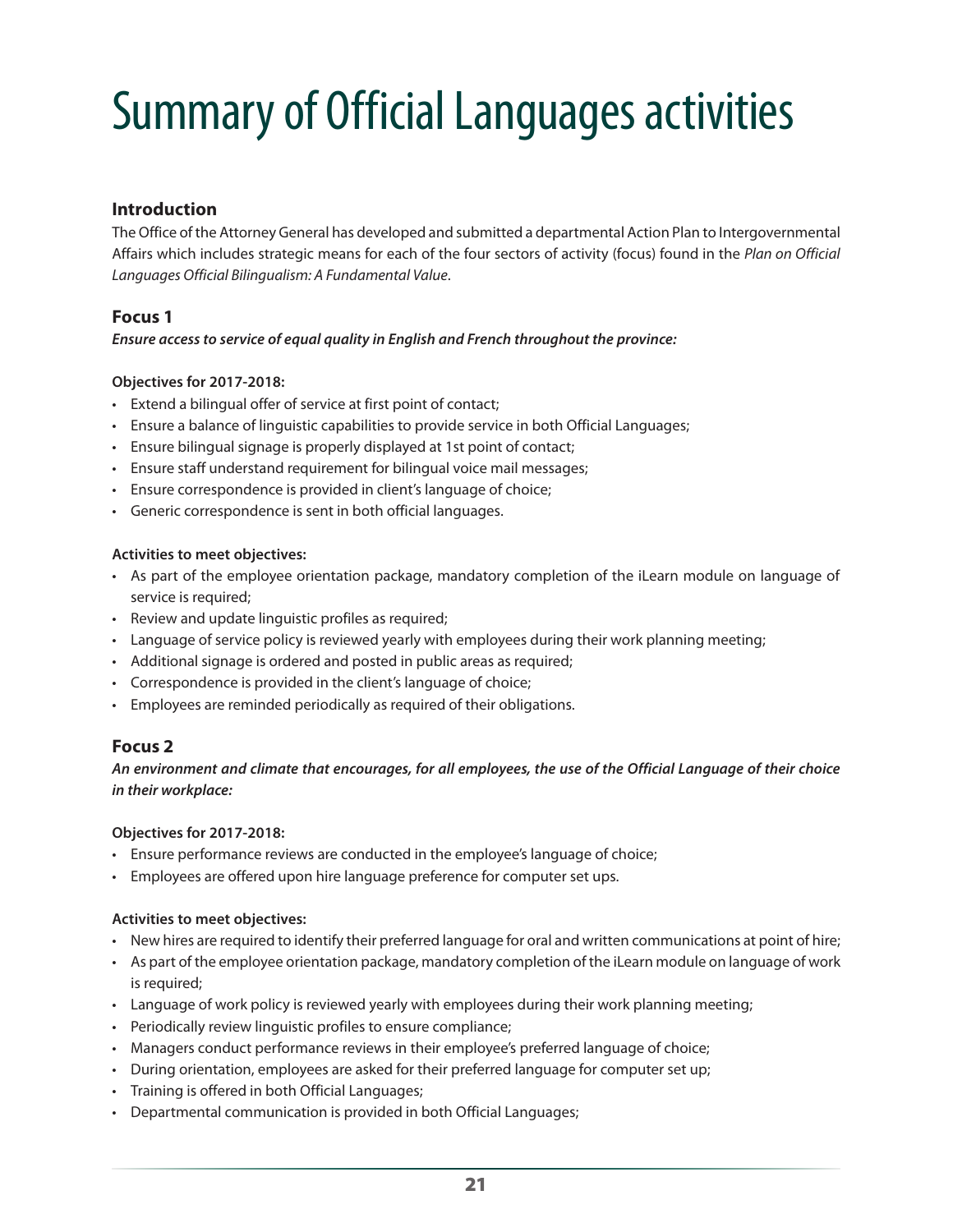# <span id="page-22-0"></span>Summary of Official Languages activities

#### **Introduction**

The Office of the Attorney General has developed and submitted a departmental Action Plan to Intergovernmental Affairs which includes strategic means for each of the four sectors of activity (focus) found in the *Plan on Official Languages Official Bilingualism: A Fundamental Value*.

#### **Focus 1**

#### *Ensure access to service of equal quality in English and French throughout the province:*

#### **Objectives for 2017-2018:**

- Extend a bilingual offer of service at first point of contact;
- Ensure a balance of linguistic capabilities to provide service in both Official Languages;
- Ensure bilingual signage is properly displayed at 1st point of contact;
- Ensure staff understand requirement for bilingual voice mail messages;
- Ensure correspondence is provided in client's language of choice;
- Generic correspondence is sent in both official languages.

#### **Activities to meet objectives:**

- As part of the employee orientation package, mandatory completion of the iLearn module on language of service is required;
- Review and update linguistic profiles as required;
- Language of service policy is reviewed yearly with employees during their work planning meeting;
- Additional signage is ordered and posted in public areas as required;
- Correspondence is provided in the client's language of choice;
- Employees are reminded periodically as required of their obligations.

#### **Focus 2**

*An environment and climate that encourages, for all employees, the use of the Official Language of their choice in their workplace:*

#### **Objectives for 2017-2018:**

- Ensure performance reviews are conducted in the employee's language of choice;
- Employees are offered upon hire language preference for computer set ups.

#### **Activities to meet objectives:**

- New hires are required to identify their preferred language for oral and written communications at point of hire;
- As part of the employee orientation package, mandatory completion of the iLearn module on language of work is required;
- Language of work policy is reviewed yearly with employees during their work planning meeting;
- Periodically review linguistic profiles to ensure compliance;
- Managers conduct performance reviews in their employee's preferred language of choice;
- During orientation, employees are asked for their preferred language for computer set up;
- Training is offered in both Official Languages;
- Departmental communication is provided in both Official Languages;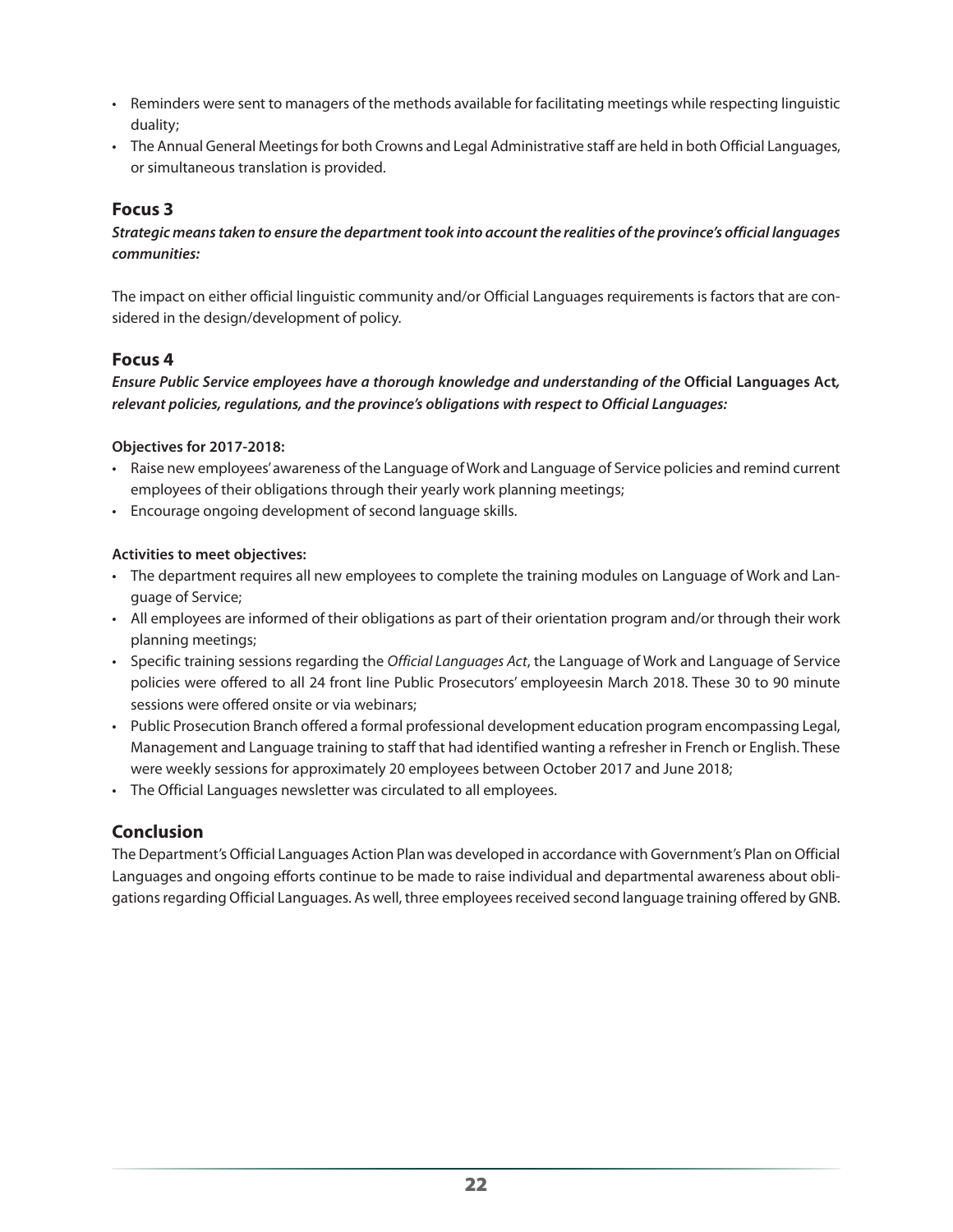- Reminders were sent to managers of the methods available for facilitating meetings while respecting linguistic duality;
- The Annual General Meetings for both Crowns and Legal Administrative staff are held in both Official Languages, or simultaneous translation is provided.

#### **Focus 3**

*Strategic means taken to ensure the department took into account the realities of the province's official languages communities:*

The impact on either official linguistic community and/or Official Languages requirements is factors that are considered in the design/development of policy.

#### **Focus 4**

#### *Ensure Public Service employees have a thorough knowledge and understanding of the* **Official Languages Act***, relevant policies, regulations, and the province's obligations with respect to Official Languages:*

#### **Objectives for 2017-2018:**

- Raise new employees' awareness of the Language of Work and Language of Service policies and remind current employees of their obligations through their yearly work planning meetings;
- Encourage ongoing development of second language skills.

#### **Activities to meet objectives:**

- The department requires all new employees to complete the training modules on Language of Work and Language of Service;
- All employees are informed of their obligations as part of their orientation program and/or through their work planning meetings;
- Specific training sessions regarding the *Official Languages Act*, the Language of Work and Language of Service policies were offered to all 24 front line Public Prosecutors' employeesin March 2018. These 30 to 90 minute sessions were offered onsite or via webinars;
- Public Prosecution Branch offered a formal professional development education program encompassing Legal, Management and Language training to staff that had identified wanting a refresher in French or English. These were weekly sessions for approximately 20 employees between October 2017 and June 2018;
- The Official Languages newsletter was circulated to all employees.

#### **Conclusion**

The Department's Official Languages Action Plan was developed in accordance with Government's Plan on Official Languages and ongoing efforts continue to be made to raise individual and departmental awareness about obligations regarding Official Languages. As well, three employees received second language training offered by GNB.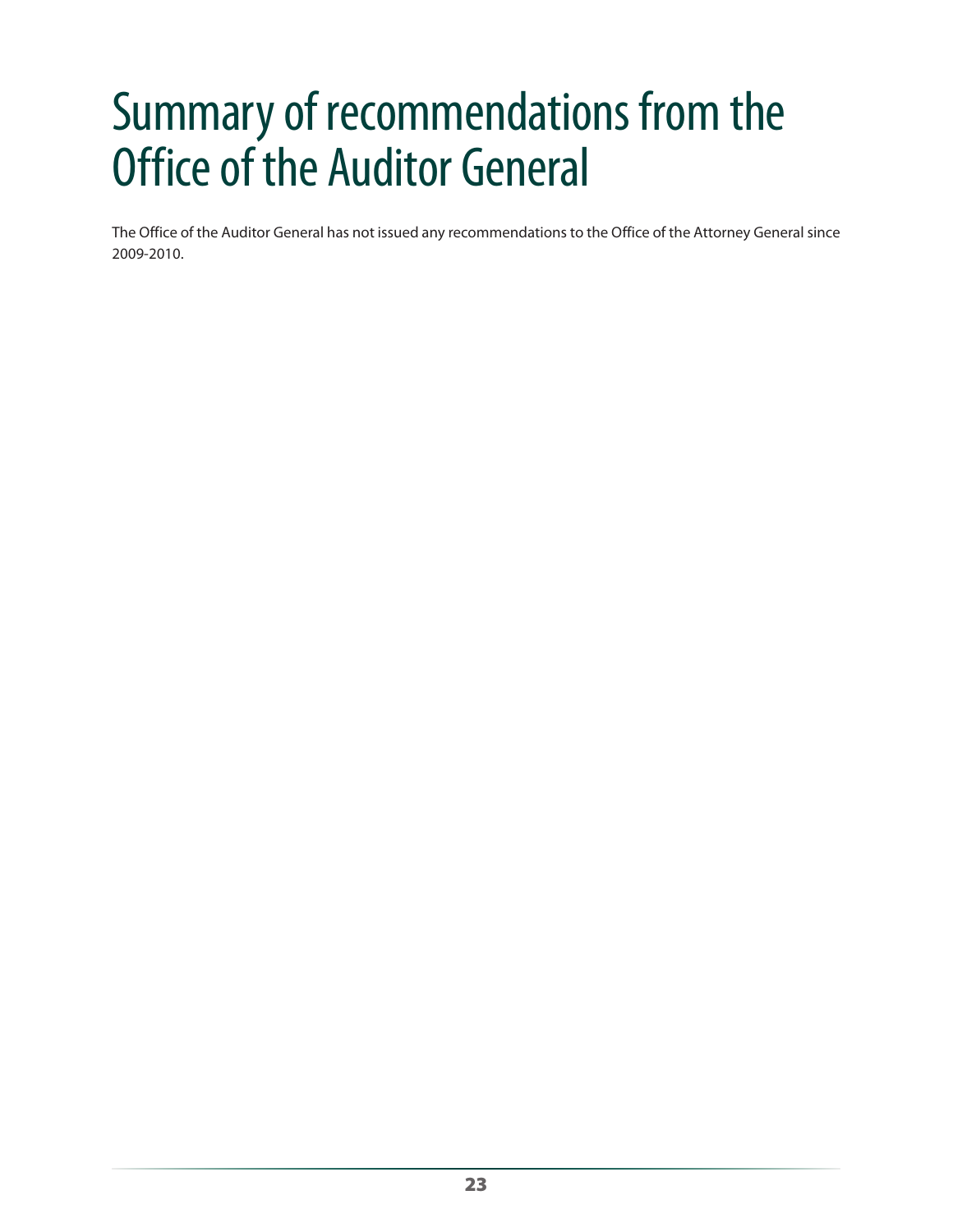# <span id="page-24-0"></span>Summary of recommendations from the Office of the Auditor General

The Office of the Auditor General has not issued any recommendations to the Office of the Attorney General since 2009-2010.